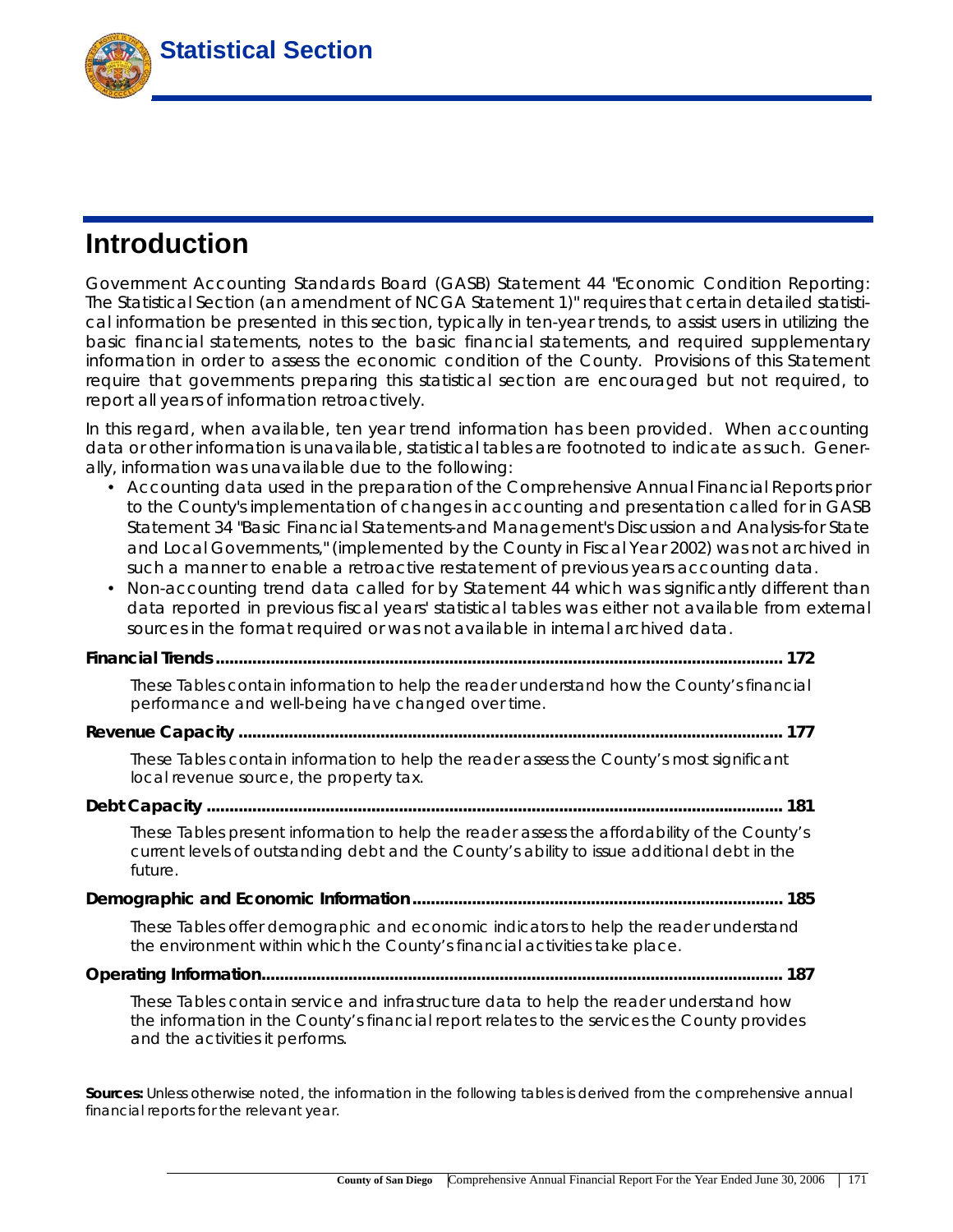

# **Introduction**

Government Accounting Standards Board (GASB) Statement 44 "Economic Condition Reporting: The Statistical Section (an amendment of NCGA Statement 1)" requires that certain detailed statistical information be presented in this section, typically in ten-year trends, to assist users in utilizing the basic financial statements, notes to the basic financial statements, and required supplementary information in order to assess the economic condition of the County. Provisions of this Statement require that governments preparing this statistical section are encouraged but not required, to report all years of information retroactively.

In this regard, when available, ten year trend information has been provided. When accounting data or other information is unavailable, statistical tables are footnoted to indicate as such. Generally, information was unavailable due to the following:

- Accounting data used in the preparation of the Comprehensive Annual Financial Reports prior to the County's implementation of changes in accounting and presentation called for in GASB Statement 34 "Basic Financial Statements-and Management's Discussion and Analysis-for State and Local Governments," (implemented by the County in Fiscal Year 2002) was not archived in such a manner to enable a retroactive restatement of previous years accounting data.
- Non-accounting trend data called for by Statement 44 which was significantly different than data reported in previous fiscal years' statistical tables was either not available from external sources in the format required or was not available in internal archived data.

| 172                                                                                                                                                                                                                       |
|---------------------------------------------------------------------------------------------------------------------------------------------------------------------------------------------------------------------------|
| These Tables contain information to help the reader understand how the County's financial<br>performance and well-being have changed over time.                                                                           |
|                                                                                                                                                                                                                           |
| These Tables contain information to help the reader assess the County's most significant<br>local revenue source, the property tax.                                                                                       |
|                                                                                                                                                                                                                           |
| These Tables present information to help the reader assess the affordability of the County's<br>current levels of outstanding debt and the County's ability to issue additional debt in the<br>future.                    |
|                                                                                                                                                                                                                           |
| These Tables offer demographic and economic indicators to help the reader understand<br>the environment within which the County's financial activities take place.                                                        |
|                                                                                                                                                                                                                           |
| These Tables contain service and infrastructure data to help the reader understand how<br>the information in the County's financial report relates to the services the County provides<br>and the activities it performs. |

**Sources:** Unless otherwise noted, the information in the following tables is derived from the comprehensive annual financial reports for the relevant year.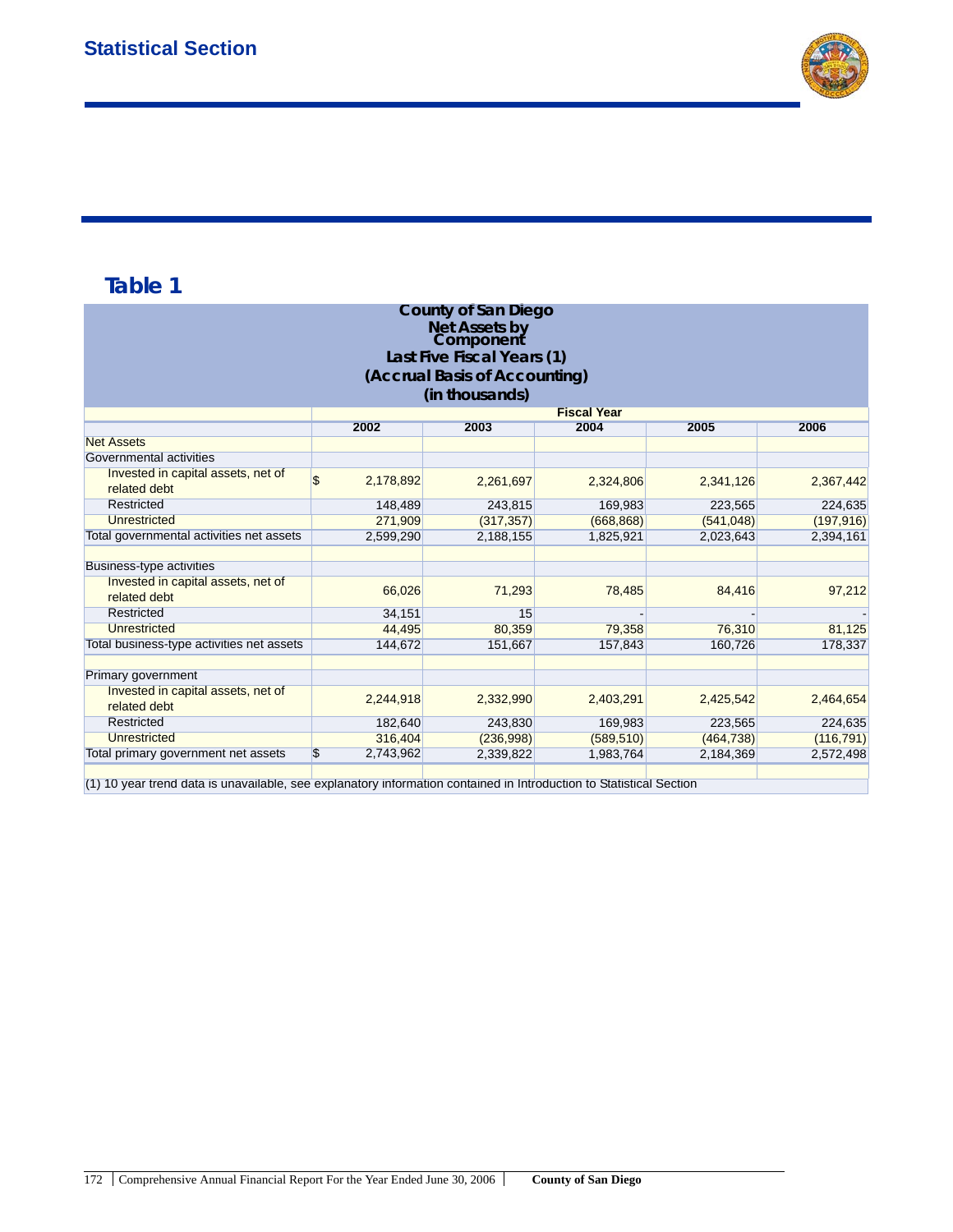

| <b>County of San Diego</b>                                                                                          |                               |                                   |                    |            |            |  |  |  |  |  |  |  |  |  |
|---------------------------------------------------------------------------------------------------------------------|-------------------------------|-----------------------------------|--------------------|------------|------------|--|--|--|--|--|--|--|--|--|
|                                                                                                                     |                               | <b>Net Assets by</b><br>Component |                    |            |            |  |  |  |  |  |  |  |  |  |
|                                                                                                                     | Last Five Fiscal Years (1)    |                                   |                    |            |            |  |  |  |  |  |  |  |  |  |
|                                                                                                                     | (Accrual Basis of Accounting) |                                   |                    |            |            |  |  |  |  |  |  |  |  |  |
| (in thousands)                                                                                                      |                               |                                   |                    |            |            |  |  |  |  |  |  |  |  |  |
|                                                                                                                     |                               |                                   | <b>Fiscal Year</b> |            |            |  |  |  |  |  |  |  |  |  |
|                                                                                                                     | 2002                          | 2003                              | 2004               | 2005       | 2006       |  |  |  |  |  |  |  |  |  |
| <b>Net Assets</b>                                                                                                   |                               |                                   |                    |            |            |  |  |  |  |  |  |  |  |  |
| Governmental activities                                                                                             |                               |                                   |                    |            |            |  |  |  |  |  |  |  |  |  |
| Invested in capital assets, net of<br>related debt                                                                  | \$<br>2,178,892               | 2,261,697                         | 2,324,806          | 2,341,126  | 2,367,442  |  |  |  |  |  |  |  |  |  |
| <b>Restricted</b>                                                                                                   | 148,489                       | 243,815                           | 169,983            | 223,565    | 224,635    |  |  |  |  |  |  |  |  |  |
| <b>Unrestricted</b>                                                                                                 | 271,909                       | (317, 357)                        | (668, 868)         | (541, 048) | (197, 916) |  |  |  |  |  |  |  |  |  |
| Total governmental activities net assets                                                                            | 2,599,290                     | 2,188,155                         | 1,825,921          | 2,023,643  | 2,394,161  |  |  |  |  |  |  |  |  |  |
| <b>Business-type activities</b>                                                                                     |                               |                                   |                    |            |            |  |  |  |  |  |  |  |  |  |
| Invested in capital assets, net of<br>related debt                                                                  | 66,026                        | 71,293                            | 78,485             | 84,416     | 97,212     |  |  |  |  |  |  |  |  |  |
| <b>Restricted</b>                                                                                                   | 34,151                        | 15                                |                    |            |            |  |  |  |  |  |  |  |  |  |
| Unrestricted                                                                                                        | 44.495                        | 80.359                            | 79,358             | 76.310     | 81,125     |  |  |  |  |  |  |  |  |  |
| Total business-type activities net assets                                                                           | 144,672                       | 151,667                           | 157,843            | 160,726    | 178,337    |  |  |  |  |  |  |  |  |  |
| Primary government                                                                                                  |                               |                                   |                    |            |            |  |  |  |  |  |  |  |  |  |
| Invested in capital assets, net of<br>related debt                                                                  | 2,244,918                     | 2,332,990                         | 2,403,291          | 2,425,542  | 2,464,654  |  |  |  |  |  |  |  |  |  |
| <b>Restricted</b>                                                                                                   | 182,640                       | 243,830                           | 169,983            | 223,565    | 224,635    |  |  |  |  |  |  |  |  |  |
| <b>Unrestricted</b>                                                                                                 | 316,404                       | (236,998)                         | (589, 510)         | (464, 738) | (116, 791) |  |  |  |  |  |  |  |  |  |
| Total primary government net assets                                                                                 | 2,743,962<br>\$               | 2,339,822                         | 1,983,764          | 2,184,369  | 2,572,498  |  |  |  |  |  |  |  |  |  |
| (1) 10 year trend data is unavailable, see explanatory information contained in Introduction to Statistical Section |                               |                                   |                    |            |            |  |  |  |  |  |  |  |  |  |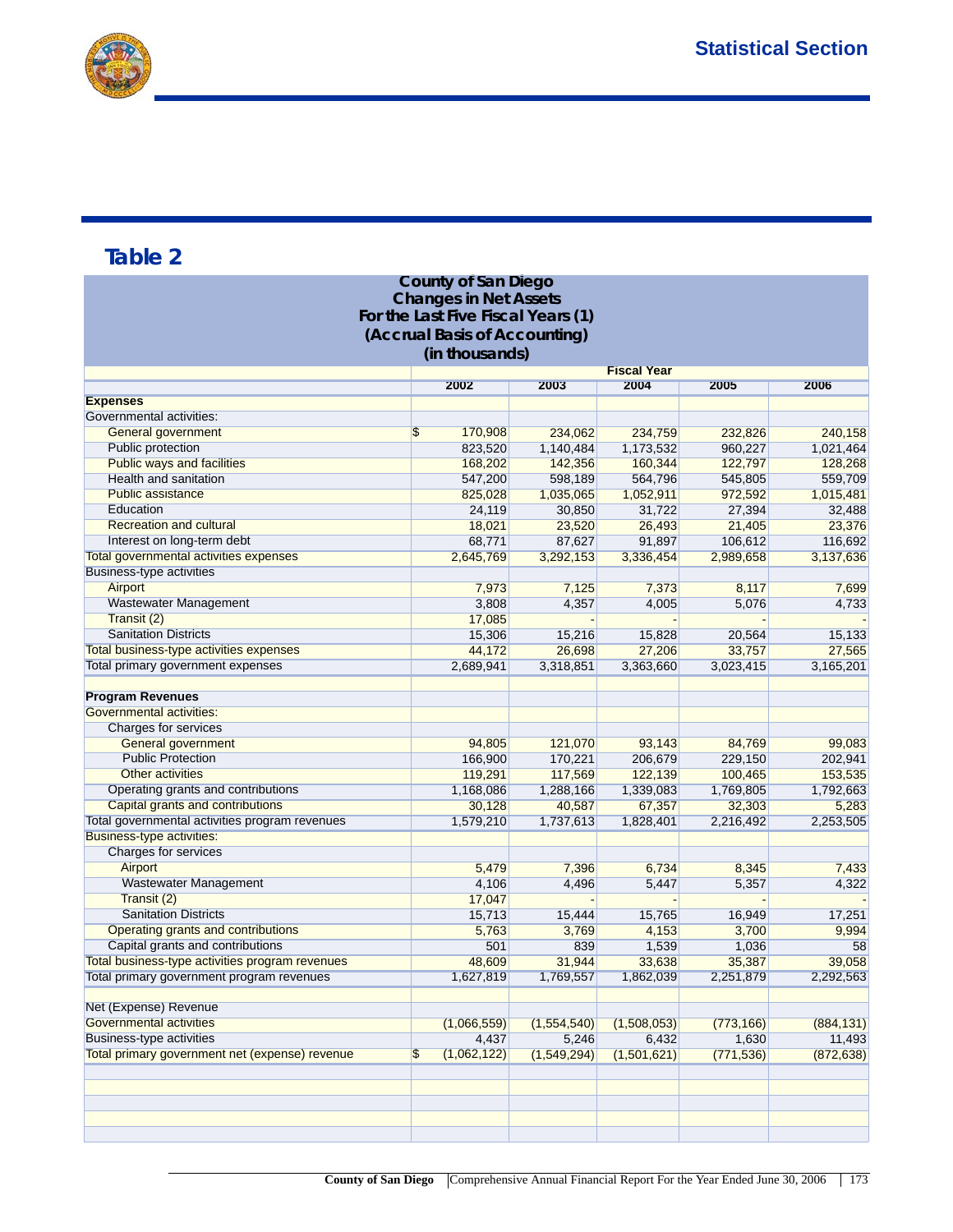

|                                                 | <b>County of San Diego</b>         |               |                    |            |            |
|-------------------------------------------------|------------------------------------|---------------|--------------------|------------|------------|
|                                                 | <b>Changes in Net Assets</b>       |               |                    |            |            |
|                                                 | For the Last Five Fiscal Years (1) |               |                    |            |            |
|                                                 | (Accrual Basis of Accounting)      |               |                    |            |            |
|                                                 |                                    |               |                    |            |            |
|                                                 | (in thousands)                     |               |                    |            |            |
|                                                 |                                    |               | <b>Fiscal Year</b> |            |            |
|                                                 | 2002                               | 2003          | 2004               | 2005       | 2006       |
| <b>Expenses</b>                                 |                                    |               |                    |            |            |
| Governmental activities:                        |                                    |               |                    |            |            |
| General government                              | \$<br>170,908                      | 234,062       | 234,759            | 232,826    | 240,158    |
| Public protection                               | 823,520                            | 1,140,484     | 1,173,532          | 960,227    | 1,021,464  |
| Public ways and facilities                      | 168,202                            | 142,356       | 160,344            | 122,797    | 128,268    |
| Health and sanitation                           | 547,200                            | 598,189       | 564,796            | 545,805    | 559,709    |
| <b>Public assistance</b>                        | 825,028                            | 1,035,065     | 1,052,911          | 972,592    | 1,015,481  |
| Education                                       | 24,119                             | 30,850        | 31,722             | 27,394     | 32,488     |
| <b>Recreation and cultural</b>                  | 18,021                             | 23,520        | 26,493             | 21,405     | 23,376     |
| Interest on long-term debt                      | 68,771                             | 87,627        | 91,897             | 106,612    | 116,692    |
| Total governmental activities expenses          | 2,645,769                          | 3,292,153     | 3,336,454          | 2,989,658  | 3,137,636  |
| <b>Business-type activities</b>                 |                                    |               |                    |            |            |
| Airport                                         | 7,973                              | 7,125         | 7,373              | 8,117      | 7,699      |
| Wastewater Management                           | 3,808                              | 4,357         | 4,005              | 5,076      | 4,733      |
| Transit (2)                                     | 17,085                             |               |                    |            |            |
| <b>Sanitation Districts</b>                     | 15,306                             | 15,216        | 15,828             | 20,564     | 15,133     |
| Total business-type activities expenses         | 44,172                             | 26,698        | 27,206             | 33,757     | 27,565     |
| Total primary government expenses               | 2,689,941                          | 3,318,851     | 3,363,660          | 3,023,415  | 3,165,201  |
| <b>Program Revenues</b>                         |                                    |               |                    |            |            |
| Governmental activities:                        |                                    |               |                    |            |            |
| Charges for services                            |                                    |               |                    |            |            |
| General government                              | 94,805                             | 121,070       | 93,143             | 84,769     | 99,083     |
| <b>Public Protection</b>                        | 166,900                            | 170,221       | 206,679            | 229,150    | 202,941    |
| Other activities                                | 119,291                            | 117,569       | 122,139            | 100,465    | 153,535    |
| Operating grants and contributions              | 1,168,086                          | 1,288,166     | 1,339,083          | 1,769,805  | 1,792,663  |
| Capital grants and contributions                | 30,128                             | 40,587        | 67,357             | 32,303     | 5,283      |
| Total governmental activities program revenues  | 1,579,210                          | 1,737,613     | 1,828,401          | 2,216,492  | 2,253,505  |
| Business-type activities:                       |                                    |               |                    |            |            |
| Charges for services                            |                                    |               |                    |            |            |
| Airport                                         | 5,479                              | 7,396         | 6,734              | 8,345      | 7,433      |
| Wastewater Management                           | 4,106                              | 4,496         | 5,447              | 5,357      | 4,322      |
| Transit (2)                                     | 17,047                             |               |                    |            |            |
| <b>Sanitation Districts</b>                     | 15,713                             | 15,444        | 15,765             | 16,949     | 17,251     |
| Operating grants and contributions              | 5,763                              | 3,769         | 4,153              | 3,700      | 9,994      |
| Capital grants and contributions                | 501                                | 839           | 1,539              | 1,036      | 58         |
| Total business-type activities program revenues | 48,609                             | 31,944        | 33,638             | 35,387     | 39,058     |
| Total primary government program revenues       | 1,627,819                          | 1,769,557     | 1,862,039          | 2,251,879  | 2,292,563  |
|                                                 |                                    |               |                    |            |            |
| Net (Expense) Revenue                           |                                    |               |                    |            |            |
| Governmental activities                         | (1,066,559)                        | (1, 554, 540) | (1,508,053)        | (773, 166) | (884, 131) |
| <b>Business-type activities</b>                 | 4,437                              | 5,246         | 6,432              | 1,630      | 11,493     |
| Total primary government net (expense) revenue  | \$<br>(1,062,122)                  | (1,549,294)   | (1,501,621)        | (771, 536) | (872, 638) |
|                                                 |                                    |               |                    |            |            |
|                                                 |                                    |               |                    |            |            |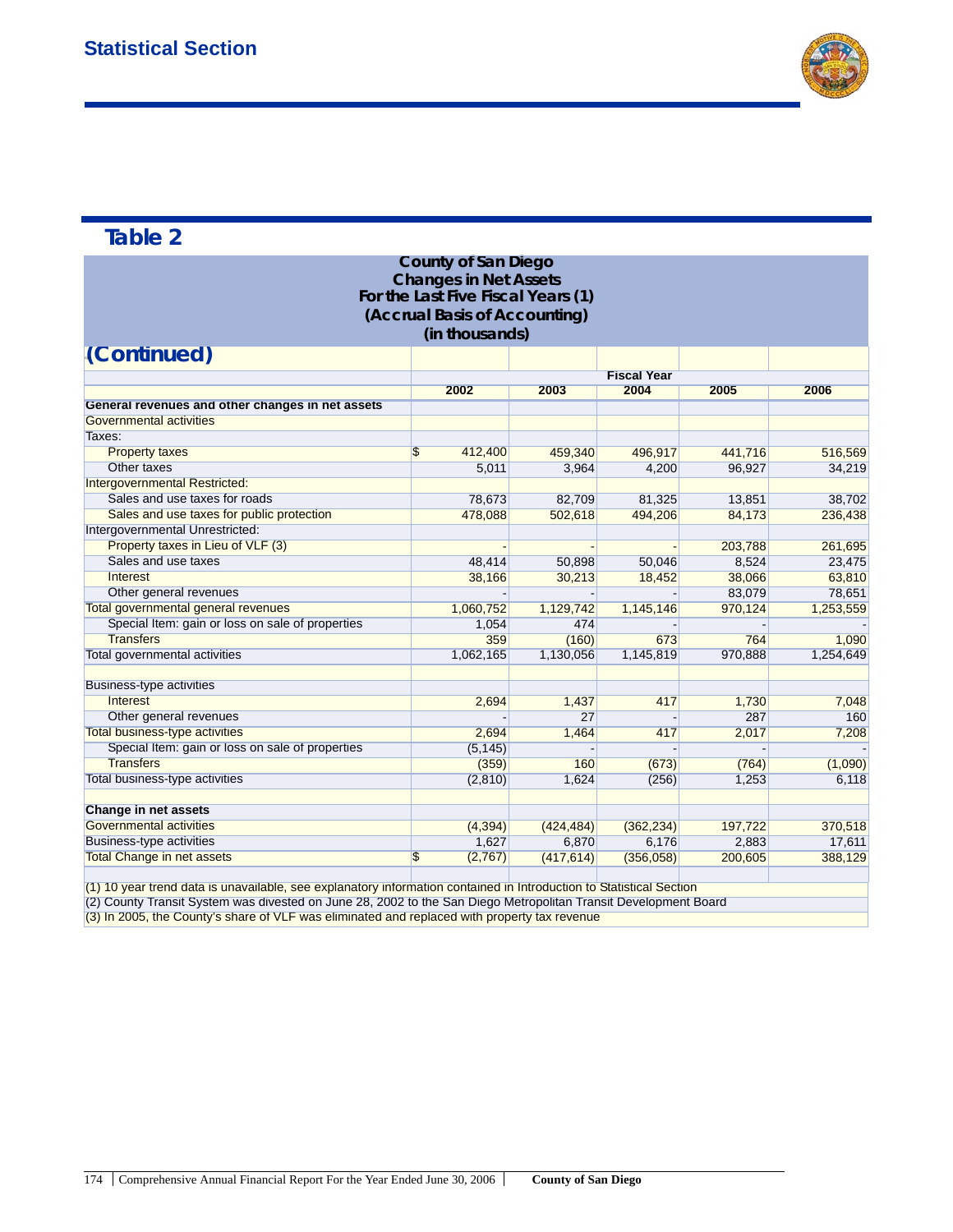

| <b>County of San Diego</b><br><b>Changes in Net Assets</b><br>For the Last Five Fiscal Years (1)<br>(Accrual Basis of Accounting)                                                                                                      |    |                |            |                    |         |           |  |  |  |  |  |  |
|----------------------------------------------------------------------------------------------------------------------------------------------------------------------------------------------------------------------------------------|----|----------------|------------|--------------------|---------|-----------|--|--|--|--|--|--|
|                                                                                                                                                                                                                                        |    | (in thousands) |            |                    |         |           |  |  |  |  |  |  |
| (Continued)                                                                                                                                                                                                                            |    |                |            |                    |         |           |  |  |  |  |  |  |
|                                                                                                                                                                                                                                        |    |                |            | <b>Fiscal Year</b> |         |           |  |  |  |  |  |  |
|                                                                                                                                                                                                                                        |    | 2002           | 2003       | 2004               | 2005    | 2006      |  |  |  |  |  |  |
| General revenues and other changes in net assets                                                                                                                                                                                       |    |                |            |                    |         |           |  |  |  |  |  |  |
| <b>Governmental activities</b>                                                                                                                                                                                                         |    |                |            |                    |         |           |  |  |  |  |  |  |
| Taxes:                                                                                                                                                                                                                                 |    |                |            |                    |         |           |  |  |  |  |  |  |
| <b>Property taxes</b>                                                                                                                                                                                                                  | \$ | 412,400        | 459,340    | 496,917            | 441,716 | 516,569   |  |  |  |  |  |  |
| Other taxes                                                                                                                                                                                                                            |    | 5,011          | 3,964      | 4,200              | 96,927  | 34,219    |  |  |  |  |  |  |
| Intergovernmental Restricted:                                                                                                                                                                                                          |    |                |            |                    |         |           |  |  |  |  |  |  |
| Sales and use taxes for roads                                                                                                                                                                                                          |    | 78,673         | 82,709     | 81,325             | 13,851  | 38,702    |  |  |  |  |  |  |
| Sales and use taxes for public protection                                                                                                                                                                                              |    | 478,088        | 502,618    | 494,206            | 84,173  | 236,438   |  |  |  |  |  |  |
| Intergovernmental Unrestricted:                                                                                                                                                                                                        |    |                |            |                    |         |           |  |  |  |  |  |  |
| Property taxes in Lieu of VLF (3)                                                                                                                                                                                                      |    |                |            |                    | 203,788 | 261,695   |  |  |  |  |  |  |
| Sales and use taxes                                                                                                                                                                                                                    |    | 48,414         | 50,898     | 50,046             | 8,524   | 23,475    |  |  |  |  |  |  |
| Interest                                                                                                                                                                                                                               |    | 38,166         | 30,213     | 18,452             | 38,066  | 63,810    |  |  |  |  |  |  |
| Other general revenues                                                                                                                                                                                                                 |    |                |            |                    | 83,079  | 78,651    |  |  |  |  |  |  |
| Total governmental general revenues                                                                                                                                                                                                    |    | 1,060,752      | 1,129,742  | 1,145,146          | 970,124 | 1,253,559 |  |  |  |  |  |  |
| Special Item: gain or loss on sale of properties                                                                                                                                                                                       |    | 1,054          | 474        |                    |         |           |  |  |  |  |  |  |
| <b>Transfers</b>                                                                                                                                                                                                                       |    | 359            | (160)      | 673                | 764     | 1,090     |  |  |  |  |  |  |
| Total governmental activities                                                                                                                                                                                                          |    | 1,062,165      | 1,130,056  | 1,145,819          | 970,888 | 1,254,649 |  |  |  |  |  |  |
| Business-type activities                                                                                                                                                                                                               |    |                |            |                    |         |           |  |  |  |  |  |  |
| Interest                                                                                                                                                                                                                               |    | 2,694          | 1,437      | 417                | 1,730   | 7,048     |  |  |  |  |  |  |
| Other general revenues                                                                                                                                                                                                                 |    |                | 27         |                    | 287     | 160       |  |  |  |  |  |  |
| <b>Total business-type activities</b>                                                                                                                                                                                                  |    | 2.694          | 1,464      | 417                | 2,017   | 7,208     |  |  |  |  |  |  |
| Special Item: gain or loss on sale of properties                                                                                                                                                                                       |    | (5, 145)       |            |                    |         |           |  |  |  |  |  |  |
| <b>Transfers</b>                                                                                                                                                                                                                       |    | (359)          | 160        | (673)              | (764)   | (1,090)   |  |  |  |  |  |  |
| Total business-type activities                                                                                                                                                                                                         |    | (2,810)        | 1,624      | (256)              | 1,253   | 6,118     |  |  |  |  |  |  |
| <b>Change in net assets</b>                                                                                                                                                                                                            |    |                |            |                    |         |           |  |  |  |  |  |  |
| <b>Governmental activities</b>                                                                                                                                                                                                         |    | (4, 394)       | (424, 484) | (362, 234)         | 197,722 | 370,518   |  |  |  |  |  |  |
| <b>Business-type activities</b>                                                                                                                                                                                                        |    | 1,627          | 6,870      | 6,176              | 2,883   | 17,611    |  |  |  |  |  |  |
| <b>Total Change in net assets</b>                                                                                                                                                                                                      | \$ | (2,767)        | (417, 614) | (356,058)          | 200,605 | 388,129   |  |  |  |  |  |  |
| (1) 10 year trend data is unavailable, see explanatory information contained in Introduction to Statistical Section<br>(2) County Transit System was divested on June 28, 2002 to the San Diego Metropolitan Transit Development Board |    |                |            |                    |         |           |  |  |  |  |  |  |

(3) In 2005, the County's share of VLF was eliminated and replaced with property tax revenue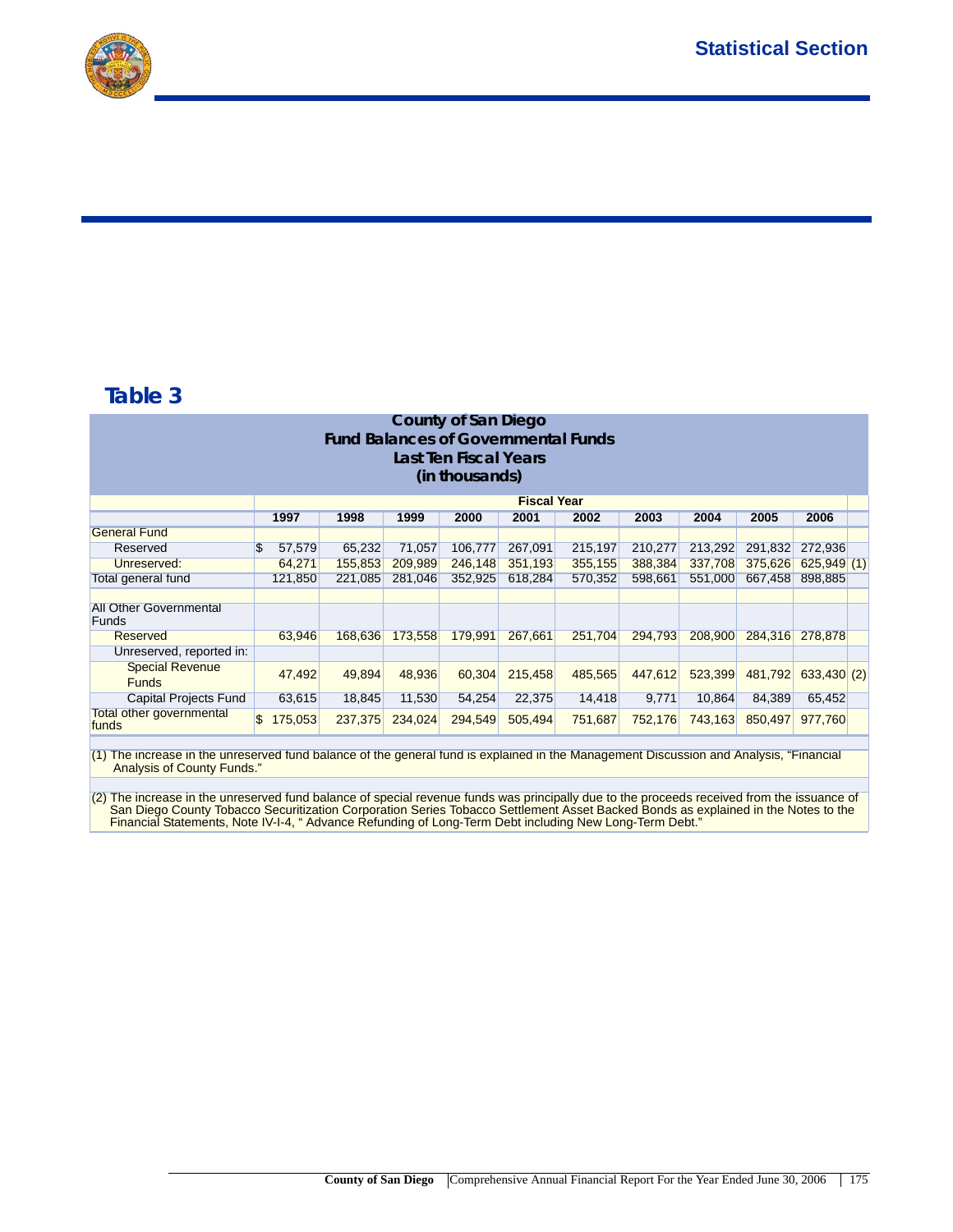

|                                                                              | <b>County of San Diego</b><br><b>Fund Balances of Governmental Funds</b> |         |         |         |         |         |         |         |         |         |            |  |  |  |
|------------------------------------------------------------------------------|--------------------------------------------------------------------------|---------|---------|---------|---------|---------|---------|---------|---------|---------|------------|--|--|--|
| Last Ten Fiscal Years                                                        |                                                                          |         |         |         |         |         |         |         |         |         |            |  |  |  |
| (in thousands)                                                               |                                                                          |         |         |         |         |         |         |         |         |         |            |  |  |  |
| <b>Fiscal Year</b>                                                           |                                                                          |         |         |         |         |         |         |         |         |         |            |  |  |  |
| 1998<br>2002<br>2006<br>1997<br>1999<br>2000<br>2001<br>2003<br>2004<br>2005 |                                                                          |         |         |         |         |         |         |         |         |         |            |  |  |  |
| <b>General Fund</b>                                                          |                                                                          |         |         |         |         |         |         |         |         |         |            |  |  |  |
| Reserved                                                                     | S                                                                        | 57,579  | 65,232  | 71.057  | 106,777 | 267,091 | 215,197 | 210,277 | 213.292 | 291,832 | 272,936    |  |  |  |
| Unreserved:                                                                  |                                                                          | 64,271  | 155,853 | 209,989 | 246,148 | 351,193 | 355,155 | 388,384 | 337,708 | 375,626 | 625,949(1) |  |  |  |
| Total general fund                                                           |                                                                          | 121,850 | 221,085 | 281,046 | 352,925 | 618,284 | 570,352 | 598,661 | 551,000 | 667,458 | 898,885    |  |  |  |
| <b>All Other Governmental</b><br><b>Funds</b>                                |                                                                          |         |         |         |         |         |         |         |         |         |            |  |  |  |
| Reserved                                                                     |                                                                          | 63,946  | 168.636 | 173,558 | 179,991 | 267.661 | 251,704 | 294.793 | 208,900 | 284,316 | 278,878    |  |  |  |
| Unreserved, reported in:                                                     |                                                                          |         |         |         |         |         |         |         |         |         |            |  |  |  |
| <b>Special Revenue</b><br><b>Funds</b>                                       |                                                                          | 47,492  | 49,894  | 48,936  | 60,304  | 215,458 | 485,565 | 447,612 | 523,399 | 481,792 | 633,430(2) |  |  |  |
| <b>Capital Projects Fund</b>                                                 |                                                                          | 63,615  | 18,845  | 11,530  | 54,254  | 22,375  | 14,418  | 9,771   | 10,864  | 84,389  | 65,452     |  |  |  |
| Total other governmental<br>funds                                            | \$                                                                       | 175,053 | 237.375 | 234.024 | 294.549 | 505.494 | 751,687 | 752.176 | 743.163 | 850.497 | 977.760    |  |  |  |

(1) The increase in the unreserved fund balance of the general fund is explained in the Management Discussion and Analysis, "Financial Analysis of County Funds."

(2) The increase in the unreserved fund balance of special revenue funds was principally due to the proceeds received from the issuance of<br>San Diego County Tobacco Securitization Corporation Series Tobacco Settlement Asset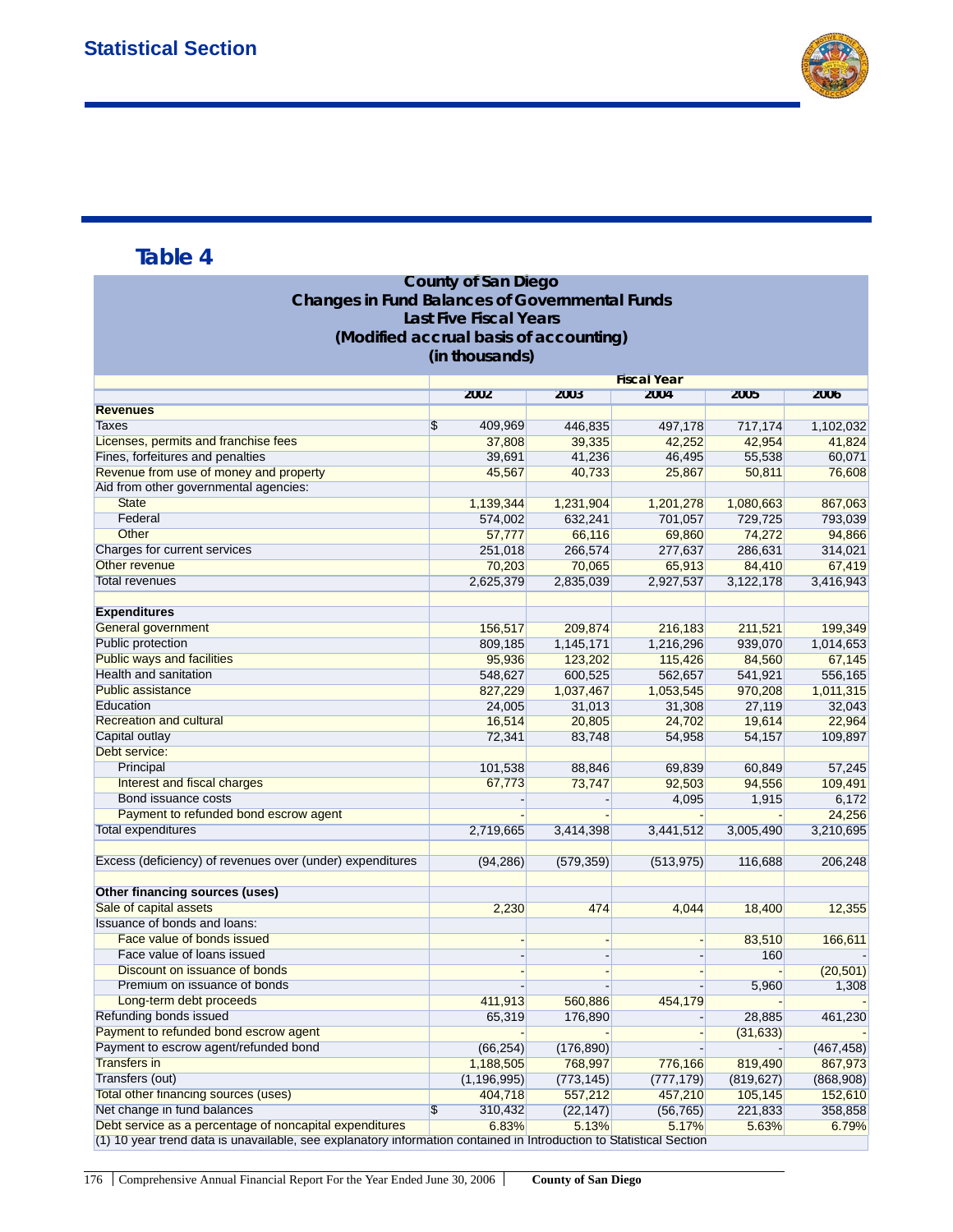

|                                                                                                                     | <b>County of San Diego</b>    |            |                    |            |            |
|---------------------------------------------------------------------------------------------------------------------|-------------------------------|------------|--------------------|------------|------------|
| <b>Changes in Fund Balances of Governmental Funds</b>                                                               |                               |            |                    |            |            |
|                                                                                                                     | <b>Last Five Fiscal Years</b> |            |                    |            |            |
|                                                                                                                     |                               |            |                    |            |            |
| (Modified accrual basis of accounting)                                                                              |                               |            |                    |            |            |
|                                                                                                                     | (in thousands)                |            |                    |            |            |
|                                                                                                                     |                               |            | <b>Fiscal Year</b> |            |            |
|                                                                                                                     | 2002                          | 2003       | 2004               | 2005       | 2006       |
| <b>Revenues</b>                                                                                                     |                               |            |                    |            |            |
| Taxes                                                                                                               | \$<br>409,969                 | 446,835    | 497,178            | 717,174    | 1,102,032  |
| Licenses, permits and franchise fees                                                                                | 37,808                        | 39,335     | 42,252             | 42,954     | 41,824     |
| Fines, forfeitures and penalties                                                                                    | 39,691                        | 41,236     | 46,495             | 55,538     | 60,071     |
| Revenue from use of money and property                                                                              | 45,567                        | 40,733     | 25,867             | 50,811     | 76,608     |
| Aid from other governmental agencies:                                                                               |                               |            |                    |            |            |
| <b>State</b>                                                                                                        | 1,139,344                     | 1,231,904  | 1,201,278          | 1,080,663  | 867,063    |
| Federal                                                                                                             | 574,002                       | 632,241    | 701,057            | 729,725    | 793,039    |
| Other                                                                                                               | 57,777                        | 66,116     | 69,860             | 74,272     | 94,866     |
| Charges for current services                                                                                        | 251,018                       | 266,574    | 277,637            | 286,631    | 314,021    |
| Other revenue                                                                                                       | 70,203                        | 70,065     | 65,913             | 84,410     | 67,419     |
| <b>Total revenues</b>                                                                                               | 2,625,379                     | 2,835,039  | 2,927,537          | 3,122,178  | 3,416,943  |
|                                                                                                                     |                               |            |                    |            |            |
| <b>Expenditures</b>                                                                                                 |                               |            |                    |            |            |
| <b>General government</b>                                                                                           | 156,517                       | 209,874    | 216,183            | 211,521    | 199,349    |
| <b>Public protection</b>                                                                                            | 809,185                       | 1,145,171  | 1,216,296          | 939,070    | 1,014,653  |
| <b>Public ways and facilities</b>                                                                                   | 95,936                        | 123,202    | 115,426            | 84,560     | 67,145     |
| <b>Health and sanitation</b>                                                                                        | 548,627                       | 600,525    | 562,657            | 541,921    | 556,165    |
| <b>Public assistance</b>                                                                                            | 827,229                       | 1,037,467  | 1,053,545          | 970,208    | 1,011,315  |
| Education                                                                                                           | 24,005                        | 31,013     | 31,308             | 27,119     | 32,043     |
| <b>Recreation and cultural</b>                                                                                      | 16,514                        | 20,805     | 24,702             | 19,614     | 22,964     |
| Capital outlay                                                                                                      | 72,341                        | 83,748     | 54,958             | 54,157     | 109,897    |
| Debt service:                                                                                                       |                               |            |                    |            |            |
| Principal                                                                                                           | 101,538                       | 88,846     | 69,839             | 60,849     | 57,245     |
| Interest and fiscal charges                                                                                         | 67,773                        | 73,747     | 92,503             | 94,556     | 109,491    |
| Bond issuance costs                                                                                                 |                               |            | 4,095              | 1,915      | 6,172      |
| Payment to refunded bond escrow agent                                                                               |                               |            |                    |            | 24,256     |
| <b>Total expenditures</b>                                                                                           | 2,719,665                     | 3,414,398  | 3,441,512          | 3,005,490  | 3,210,695  |
|                                                                                                                     |                               |            |                    |            |            |
| Excess (deficiency) of revenues over (under) expenditures                                                           | (94, 286)                     | (579, 359) | (513, 975)         | 116,688    | 206,248    |
|                                                                                                                     |                               |            |                    |            |            |
| Other financing sources (uses)                                                                                      |                               |            |                    |            |            |
| Sale of capital assets                                                                                              | 2,230                         | 474        | 4,044              | 18,400     | 12,355     |
| Issuance of bonds and loans:                                                                                        |                               |            |                    |            |            |
| Face value of bonds issued                                                                                          |                               |            |                    | 83,510     | 166,611    |
| Face value of loans issued                                                                                          |                               |            |                    | 160        |            |
| Discount on issuance of bonds                                                                                       |                               |            |                    |            | (20, 501)  |
| Premium on issuance of bonds                                                                                        |                               |            |                    | 5,960      | 1,308      |
| Long-term debt proceeds                                                                                             | 411,913                       | 560,886    | 454,179            |            |            |
| Refunding bonds issued                                                                                              | 65,319                        | 176,890    |                    | 28,885     | 461,230    |
| Payment to refunded bond escrow agent                                                                               |                               |            |                    | (31, 633)  |            |
| Payment to escrow agent/refunded bond                                                                               | (66, 254)                     | (176, 890) |                    |            | (467, 458) |
| <b>Transfers in</b>                                                                                                 | 1,188,505                     | 768,997    | 776,166            | 819,490    | 867,973    |
| Transfers (out)                                                                                                     | (1, 196, 995)                 | (773, 145) | (777, 179)         | (819, 627) | (868,908)  |
| Total other financing sources (uses)                                                                                | 404,718                       | 557,212    | 457,210            | 105,145    | 152,610    |
| Net change in fund balances                                                                                         | \$<br>310,432                 | (22, 147)  | (56, 765)          | 221,833    | 358,858    |
| Debt service as a percentage of noncapital expenditures                                                             | 6.83%                         | 5.13%      | 5.17%              | 5.63%      | 6.79%      |
| (1) 10 year trend data is unavailable, see explanatory information contained in Introduction to Statistical Section |                               |            |                    |            |            |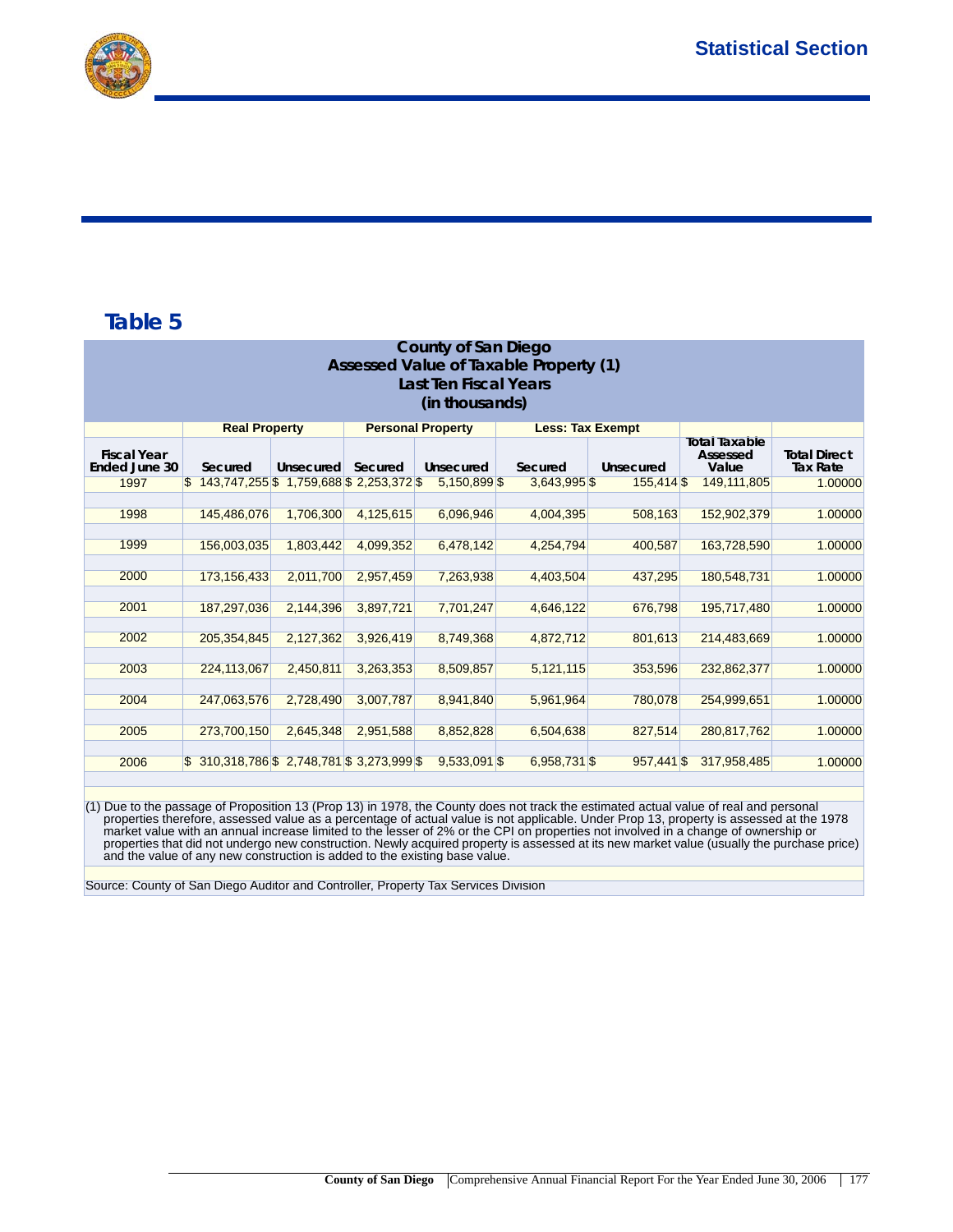

|                                                                             | <b>County of San Diego</b><br>Assessed Value of Taxable Property (1)<br>Last Ten Fiscal Years |           |           |                |              |                  |                                           |                                        |  |  |  |  |  |  |  |
|-----------------------------------------------------------------------------|-----------------------------------------------------------------------------------------------|-----------|-----------|----------------|--------------|------------------|-------------------------------------------|----------------------------------------|--|--|--|--|--|--|--|
| (in thousands)                                                              |                                                                                               |           |           |                |              |                  |                                           |                                        |  |  |  |  |  |  |  |
| <b>Real Property</b><br><b>Personal Property</b><br><b>Less: Tax Exempt</b> |                                                                                               |           |           |                |              |                  |                                           |                                        |  |  |  |  |  |  |  |
| <b>Fiscal Year</b><br><b>Ended June 30</b>                                  | Secured                                                                                       | Unsecured | Secured   | Unsecured      | Secured      | <b>Unsecured</b> | <b>Total Taxable</b><br>Assessed<br>Value | <b>Total Direct</b><br><b>Tax Rate</b> |  |  |  |  |  |  |  |
| 1997                                                                        | \$143,747,255 \$1,759,688 \$2,253,372 \$                                                      |           |           | 5.150.899 \$   | 3,643,995 \$ | 155.414 \$       | 149, 111, 805                             | 1.00000                                |  |  |  |  |  |  |  |
| 1998                                                                        | 145,486,076                                                                                   | 1,706,300 | 4,125,615 | 6,096,946      | 4,004,395    | 508,163          | 152,902,379                               | 1.00000                                |  |  |  |  |  |  |  |
| 1999                                                                        | 156,003,035                                                                                   | 1,803,442 | 4,099,352 | 6,478,142      | 4,254,794    | 400,587          | 163,728,590                               | 1.00000                                |  |  |  |  |  |  |  |
| 2000                                                                        | 173, 156, 433                                                                                 | 2,011,700 | 2,957,459 | 7,263,938      | 4,403,504    | 437,295          | 180,548,731                               | 1.00000                                |  |  |  |  |  |  |  |
| 2001                                                                        | 187,297,036                                                                                   | 2,144,396 | 3,897,721 | 7,701,247      | 4,646,122    | 676,798          | 195.717.480                               | 1.00000                                |  |  |  |  |  |  |  |
| 2002                                                                        | 205, 354, 845                                                                                 | 2,127,362 | 3,926,419 | 8,749,368      | 4,872,712    | 801,613          | 214,483,669                               | 1.00000                                |  |  |  |  |  |  |  |
| 2003                                                                        | 224,113,067                                                                                   | 2,450,811 | 3,263,353 | 8,509,857      | 5,121,115    | 353.596          | 232,862,377                               | 1.00000                                |  |  |  |  |  |  |  |
| 2004                                                                        | 247,063,576                                                                                   | 2,728,490 | 3,007,787 | 8,941,840      | 5,961,964    | 780,078          | 254,999,651                               | 1.00000                                |  |  |  |  |  |  |  |
| 2005                                                                        | 273,700,150                                                                                   | 2,645,348 | 2,951,588 | 8,852,828      | 6,504,638    | 827,514          | 280,817,762                               | 1.00000                                |  |  |  |  |  |  |  |
| 2006                                                                        | $$310,318,786 \$ $2,748,781 \$ $3,273,999 \$                                                  |           |           | $9.533.091$ \$ | 6,958,731 \$ | $957,441$ \$     | 317,958,485                               | 1.00000                                |  |  |  |  |  |  |  |

(1) Due to the passage of Proposition 13 (Prop 13) in 1978, the County does not track the estimated actual value of real and personal<br>properties therefore, assessed value as a percentage of actual value is not applicable. market value with an annual increase limited to the lesser of 2% or the CPI on properties not involved in a change of ownership or<br>properties that did not undergo new construction. Newly acquired property is assessed at it and the value of any new construction is added to the existing base value.

Source: County of San Diego Auditor and Controller, Property Tax Services Division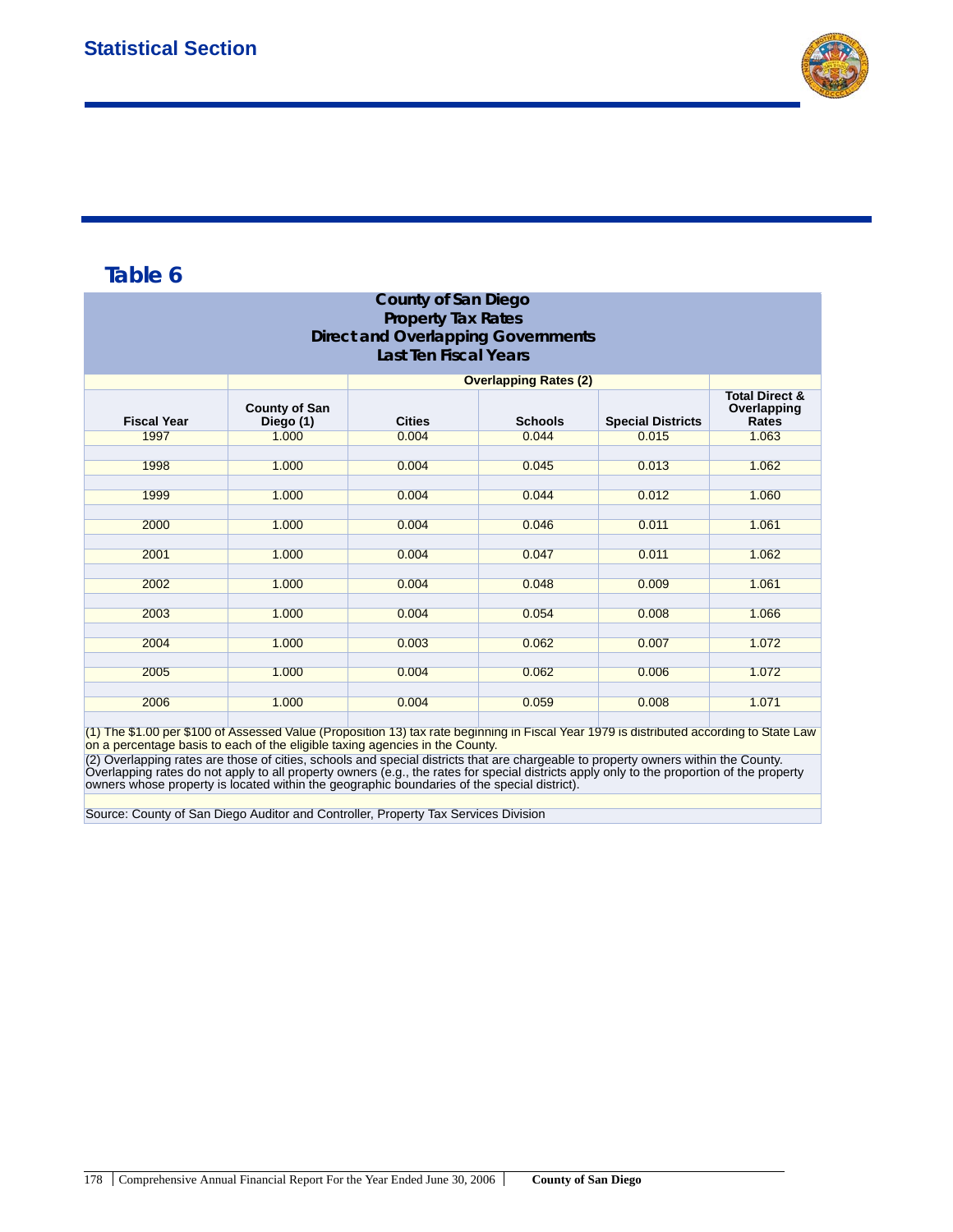

| <b>County of San Diego</b><br><b>Property Tax Rates</b><br><b>Direct and Overlapping Governments</b><br><b>Last Ten Fiscal Years</b> |                                   |                             |                              |       |                           |  |  |  |  |  |  |  |
|--------------------------------------------------------------------------------------------------------------------------------------|-----------------------------------|-----------------------------|------------------------------|-------|---------------------------|--|--|--|--|--|--|--|
|                                                                                                                                      |                                   |                             | <b>Overlapping Rates (2)</b> |       | <b>Total Direct &amp;</b> |  |  |  |  |  |  |  |
| <b>Fiscal Year</b>                                                                                                                   | <b>County of San</b><br>Diego (1) | Overlapping<br><b>Rates</b> |                              |       |                           |  |  |  |  |  |  |  |
| 1997                                                                                                                                 | 1.000                             | 0.004                       | 0.044                        | 0.015 | 1.063                     |  |  |  |  |  |  |  |
| 1998                                                                                                                                 | 1.000                             | 0.004                       | 0.045                        | 0.013 | 1.062                     |  |  |  |  |  |  |  |
| 1999                                                                                                                                 | 1.000                             | 0.004                       | 0.044                        | 0.012 | 1.060                     |  |  |  |  |  |  |  |
| 2000                                                                                                                                 | 1.000                             | 0.004                       | 0.046                        | 0.011 | 1.061                     |  |  |  |  |  |  |  |
| 2001                                                                                                                                 | 1.000                             | 0.004                       | 0.047                        | 0.011 | 1.062                     |  |  |  |  |  |  |  |
| 2002                                                                                                                                 | 1.000                             | 0.004                       | 0.048                        | 0.009 | 1.061                     |  |  |  |  |  |  |  |
| 2003                                                                                                                                 | 1.000                             | 0.004                       | 0.054                        | 0.008 | 1.066                     |  |  |  |  |  |  |  |
| 2004                                                                                                                                 | 1.000                             | 0.003                       | 0.062                        | 0.007 | 1.072                     |  |  |  |  |  |  |  |
| 2005                                                                                                                                 | 1.000                             | 0.004                       | 0.062                        | 0.006 | 1.072                     |  |  |  |  |  |  |  |
| 2006                                                                                                                                 | 1.000                             | 0.004                       | 0.059                        | 0.008 | 1.071                     |  |  |  |  |  |  |  |

(1) The \$1.00 per \$100 of Assessed Value (Proposition 13) tax rate beginning in Fiscal Year 1979 is distributed according to State Law on a percentage basis to each of the eligible taxing agencies in the County.

(2) Overlapping rates are those of cities, schools and special districts that are chargeable to property owners within the County.<br>Overlapping rates do not apply to all property owners (e.g., the rates for special district

Source: County of San Diego Auditor and Controller, Property Tax Services Division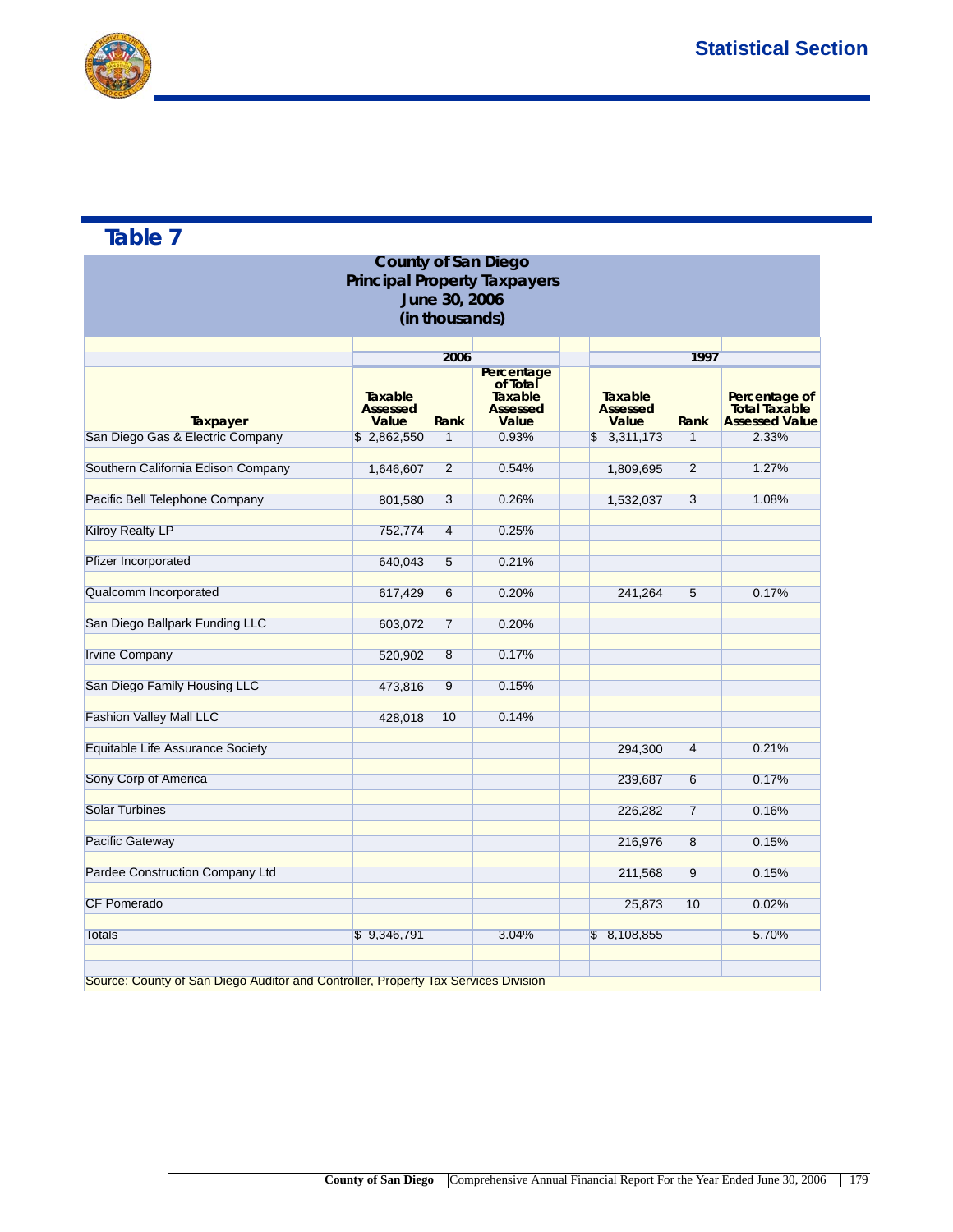

|                                                                                    |                                     |                 |                                                               | <b>County of San Diego</b><br><b>Principal Property Taxpayers</b><br>June 30, 2006<br>(in thousands) |                                     |                |                                                                |  |  |  |  |  |  |  |  |
|------------------------------------------------------------------------------------|-------------------------------------|-----------------|---------------------------------------------------------------|------------------------------------------------------------------------------------------------------|-------------------------------------|----------------|----------------------------------------------------------------|--|--|--|--|--|--|--|--|
|                                                                                    |                                     |                 |                                                               |                                                                                                      |                                     |                |                                                                |  |  |  |  |  |  |  |  |
| 1997<br>2006                                                                       |                                     |                 |                                                               |                                                                                                      |                                     |                |                                                                |  |  |  |  |  |  |  |  |
| Taxpayer                                                                           | Taxable<br><b>Assessed</b><br>Value | Rank            | Percentage<br>of Total<br>Taxable<br><b>Assessed</b><br>Value |                                                                                                      | Taxable<br><b>Assessed</b><br>Value | Rank           | Percentage of<br><b>Total Taxable</b><br><b>Assessed Value</b> |  |  |  |  |  |  |  |  |
| San Diego Gas & Electric Company                                                   | \$2,862,550                         | $\overline{1}$  | 0.93%                                                         |                                                                                                      | \$3,311,173                         | $\overline{1}$ | 2.33%                                                          |  |  |  |  |  |  |  |  |
| Southern California Edison Company                                                 | 1,646,607                           | $\overline{2}$  | 0.54%                                                         |                                                                                                      | 1,809,695                           | $\overline{2}$ | 1.27%                                                          |  |  |  |  |  |  |  |  |
| Pacific Bell Telephone Company                                                     | 801,580                             | 3               | 0.26%                                                         |                                                                                                      | 1,532,037                           | $\overline{3}$ | 1.08%                                                          |  |  |  |  |  |  |  |  |
| <b>Kilroy Realty LP</b>                                                            | 752,774                             | $\overline{4}$  | 0.25%                                                         |                                                                                                      |                                     |                |                                                                |  |  |  |  |  |  |  |  |
| <b>Pfizer Incorporated</b>                                                         | 640,043                             | $\overline{5}$  | 0.21%                                                         |                                                                                                      |                                     |                |                                                                |  |  |  |  |  |  |  |  |
| Qualcomm Incorporated                                                              | 617,429                             | $6\overline{6}$ | 0.20%                                                         |                                                                                                      | 241,264                             | 5              | 0.17%                                                          |  |  |  |  |  |  |  |  |
| San Diego Ballpark Funding LLC                                                     | 603,072                             | $\overline{7}$  | 0.20%                                                         |                                                                                                      |                                     |                |                                                                |  |  |  |  |  |  |  |  |
| <b>Irvine Company</b>                                                              | 520,902                             | $\overline{8}$  | 0.17%                                                         |                                                                                                      |                                     |                |                                                                |  |  |  |  |  |  |  |  |
| San Diego Family Housing LLC                                                       | 473,816                             | 9               | 0.15%                                                         |                                                                                                      |                                     |                |                                                                |  |  |  |  |  |  |  |  |
| <b>Fashion Valley Mall LLC</b>                                                     | 428,018                             | 10              | 0.14%                                                         |                                                                                                      |                                     |                |                                                                |  |  |  |  |  |  |  |  |
| Equitable Life Assurance Society                                                   |                                     |                 |                                                               |                                                                                                      | 294,300                             | $\overline{4}$ | 0.21%                                                          |  |  |  |  |  |  |  |  |
| Sony Corp of America                                                               |                                     |                 |                                                               |                                                                                                      | 239,687                             | 6              | 0.17%                                                          |  |  |  |  |  |  |  |  |
| <b>Solar Turbines</b>                                                              |                                     |                 |                                                               |                                                                                                      | 226,282                             | $\overline{7}$ | 0.16%                                                          |  |  |  |  |  |  |  |  |
| <b>Pacific Gateway</b>                                                             |                                     |                 |                                                               |                                                                                                      | 216,976                             | $\overline{8}$ | 0.15%                                                          |  |  |  |  |  |  |  |  |
| Pardee Construction Company Ltd                                                    |                                     |                 |                                                               |                                                                                                      | 211,568                             | 9              | 0.15%                                                          |  |  |  |  |  |  |  |  |
| <b>CF Pomerado</b>                                                                 |                                     |                 |                                                               |                                                                                                      | 25,873                              | 10             | 0.02%                                                          |  |  |  |  |  |  |  |  |
| <b>Totals</b>                                                                      | \$9,346,791                         |                 | 3.04%                                                         |                                                                                                      | \$8,108,855                         |                | 5.70%                                                          |  |  |  |  |  |  |  |  |
| Source: County of San Diego Auditor and Controller, Property Tax Services Division |                                     |                 |                                                               |                                                                                                      |                                     |                |                                                                |  |  |  |  |  |  |  |  |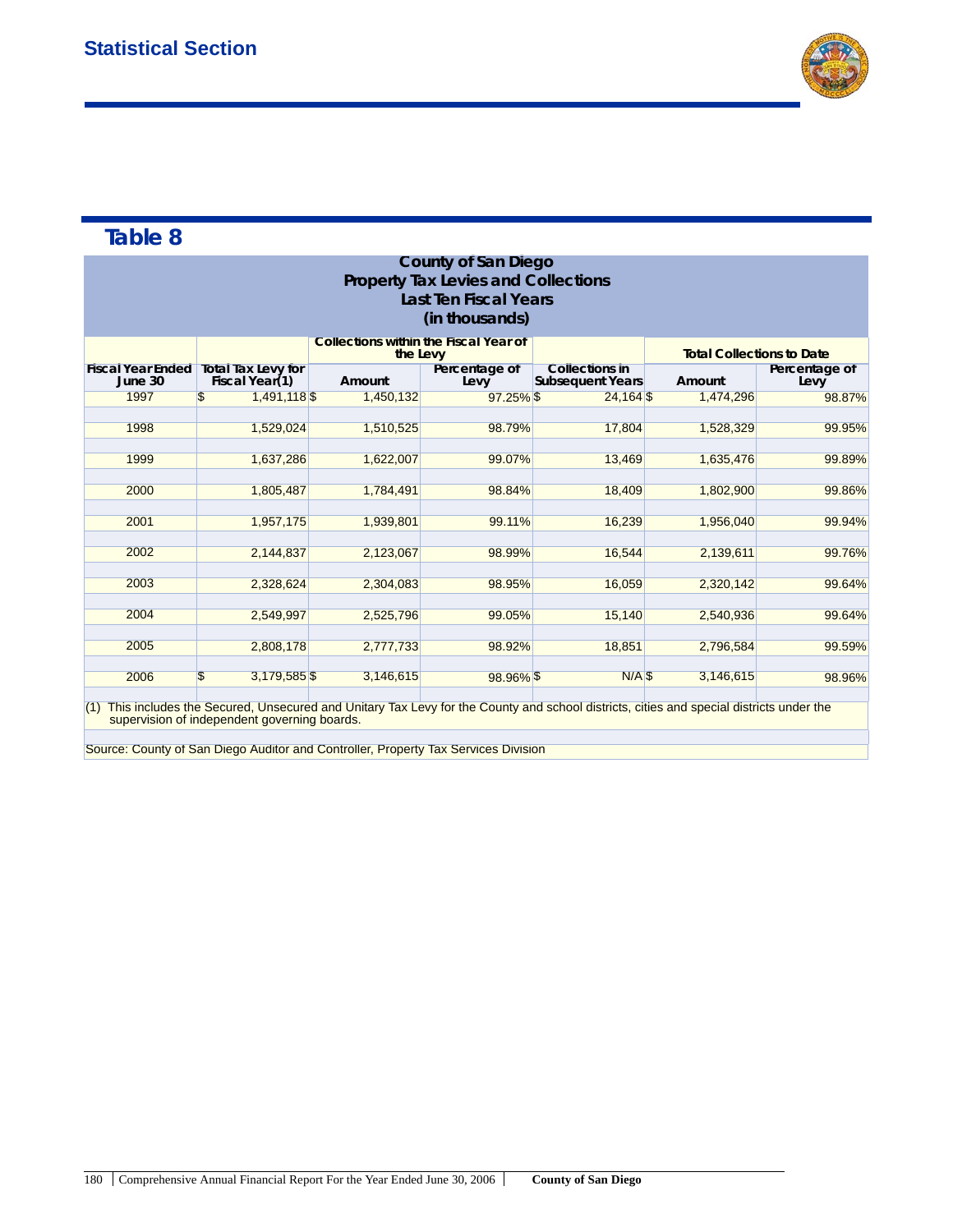

### Comparison of Computation of Legal Debt Margin Fiscal Year Ended June 30 **Table 8**

| <b>County of San Diego</b><br><b>Property Tax Levies and Collections</b><br><b>Last Ten Fiscal Years</b><br>(in thousands) |                    |           |                       |                                                  |           |                       |  |  |  |  |  |  |  |
|----------------------------------------------------------------------------------------------------------------------------|--------------------|-----------|-----------------------|--------------------------------------------------|-----------|-----------------------|--|--|--|--|--|--|--|
| <b>Collections within the Fiscal Year of</b><br><b>Total Collections to Date</b><br>the Levy                               |                    |           |                       |                                                  |           |                       |  |  |  |  |  |  |  |
| Fiscal Year Ended   Total Tax Levy for<br>June 30                                                                          | Fiscal Year(1)     | Amount    | Percentage of<br>Levy | <b>Collections in</b><br><b>Subsequent Years</b> | Amount    | Percentage of<br>Levy |  |  |  |  |  |  |  |
| 1997                                                                                                                       | \$<br>1,491,118 \$ | 1,450,132 | $97.25\%$ \$          | $24,164$ \$                                      | 1,474,296 | 98.87%                |  |  |  |  |  |  |  |
| 1998                                                                                                                       | 1.529.024          | 1,510,525 | 98.79%                | 17.804                                           | 1,528,329 | 99.95%                |  |  |  |  |  |  |  |
| 1999                                                                                                                       | 1,637,286          | 1,622,007 | 99.07%                | 13,469                                           | 1,635,476 | 99.89%                |  |  |  |  |  |  |  |
| 2000                                                                                                                       | 1,805,487          | 1,784,491 | 98.84%                | 18,409                                           | 1,802,900 | 99.86%                |  |  |  |  |  |  |  |
| 2001                                                                                                                       | 1,957,175          | 1,939,801 | 99.11%                | 16,239                                           | 1,956,040 | 99.94%                |  |  |  |  |  |  |  |
| 2002                                                                                                                       | 2,144,837          | 2,123,067 | 98.99%                | 16,544                                           | 2,139,611 | 99.76%                |  |  |  |  |  |  |  |
| 2003                                                                                                                       | 2,328,624          | 2,304,083 | 98.95%                | 16,059                                           | 2,320,142 | 99.64%                |  |  |  |  |  |  |  |
| 2004                                                                                                                       | 2,549,997          | 2,525,796 | 99.05%                | 15,140                                           | 2,540,936 | 99.64%                |  |  |  |  |  |  |  |
| 2005                                                                                                                       | 2,808,178          | 2,777,733 | 98.92%                | 18,851                                           | 2,796,584 | 99.59%                |  |  |  |  |  |  |  |
| 2006                                                                                                                       | \$<br>3,179,585 \$ | 3,146,615 | 98.96% \$             | $N/A$ \$                                         | 3,146,615 | 98.96%                |  |  |  |  |  |  |  |

(1) This includes the Secured, Unsecured and Unitary Tax Levy for the County and school districts, cities and special districts under the supervision of independent governing boards.

Source: County of San Diego Auditor and Controller, Property Tax Services Division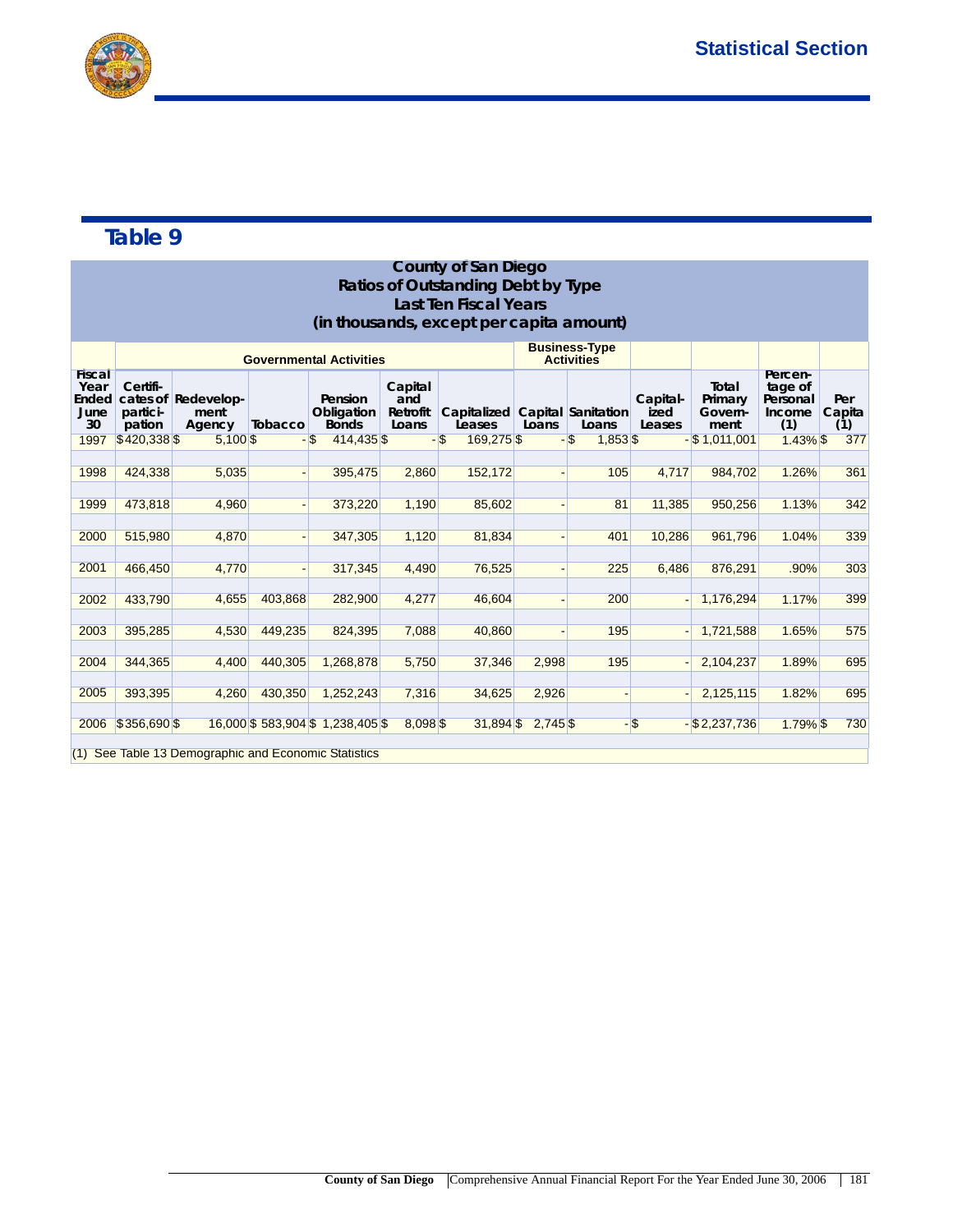

|                                              | <b>County of San Diego</b><br>Ratios of Outstanding Debt by Type         |                                       |         |                                       |                                     |                                           |            |                      |                            |                                     |                                                 |                                   |  |  |  |
|----------------------------------------------|--------------------------------------------------------------------------|---------------------------------------|---------|---------------------------------------|-------------------------------------|-------------------------------------------|------------|----------------------|----------------------------|-------------------------------------|-------------------------------------------------|-----------------------------------|--|--|--|
|                                              | <b>Last Ten Fiscal Years</b><br>(in thousands, except per capita amount) |                                       |         |                                       |                                     |                                           |            |                      |                            |                                     |                                                 |                                   |  |  |  |
|                                              |                                                                          |                                       |         | <b>Governmental Activities</b>        |                                     | <b>Business-Type</b><br><b>Activities</b> |            |                      |                            |                                     |                                                 |                                   |  |  |  |
| <b>Fiscal</b><br>Year<br>Ended<br>June<br>30 | Certifi-<br>partici-<br>pation                                           | cates of Redevelop-<br>ment<br>Agency | Tobacco | Pension<br>Obligation<br><b>Bonds</b> | Capital<br>and<br>Retrofit<br>Loans | Capitalized Capital Sanitation<br>Leases  | Loans      | Loans                | Capital-<br>ized<br>Leases | Total<br>Primary<br>Govern-<br>ment | Percen-<br>tage of<br>Personal<br>Income<br>(1) | Per<br>Capita<br>$\left(1\right)$ |  |  |  |
| 1997                                         | \$420,338\$                                                              | $5,100$ \$                            |         | 414,435 \$<br>- \$                    |                                     | 169,275\$<br>$-$ \$                       |            | $-$ \$<br>$1,853$ \$ |                            | $-$ \$1,011,001                     | $1.43\%$ \$                                     | 377                               |  |  |  |
| 1998                                         | 424,338                                                                  | 5,035                                 |         | 395,475                               | 2,860                               | 152,172                                   |            | 105                  | 4,717                      | 984,702                             | 1.26%                                           | 361                               |  |  |  |
| 1999                                         | 473,818                                                                  | 4,960                                 |         | 373,220                               | 1,190                               | 85,602                                    |            | 81                   | 11,385                     | 950,256                             | 1.13%                                           | 342                               |  |  |  |
| 2000                                         | 515,980                                                                  | 4,870                                 |         | 347,305                               | 1,120                               | 81,834                                    |            | 401                  | 10,286                     | 961,796                             | 1.04%                                           | 339                               |  |  |  |
| 2001                                         | 466,450                                                                  | 4,770                                 |         | 317,345                               | 4,490                               | 76,525                                    |            | 225                  | 6.486                      | 876,291                             | .90%                                            | 303                               |  |  |  |
| 2002                                         | 433,790                                                                  | 4,655                                 | 403,868 | 282,900                               | 4,277                               | 46,604                                    |            | 200                  |                            | 1,176,294                           | 1.17%                                           | 399                               |  |  |  |
| 2003                                         | 395,285                                                                  | 4,530                                 | 449,235 | 824,395                               | 7,088                               | 40,860                                    |            | 195                  |                            | 1,721,588                           | 1.65%                                           | 575                               |  |  |  |
| 2004                                         | 344,365                                                                  | 4,400                                 | 440,305 | 1,268,878                             | 5,750                               | 37,346                                    | 2,998      | 195                  |                            | 2,104,237                           | 1.89%                                           | 695                               |  |  |  |
| 2005                                         | 393,395                                                                  | 4,260                                 | 430,350 | 1,252,243                             | 7,316                               | 34,625                                    | 2,926      |                      |                            | 2,125,115                           | 1.82%                                           | 695                               |  |  |  |
| 2006                                         | \$356,690 \$                                                             |                                       |         | 16,000 \$583,904 \$1,238,405 \$       | 8,098 \$                            | 31.894 \$                                 | $2,745$ \$ | $-$ \$               |                            | $-$ \$2,237,736                     | $1.79\%$ \$                                     | 730                               |  |  |  |

(1) See Table 13 Demographic and Economic Statistics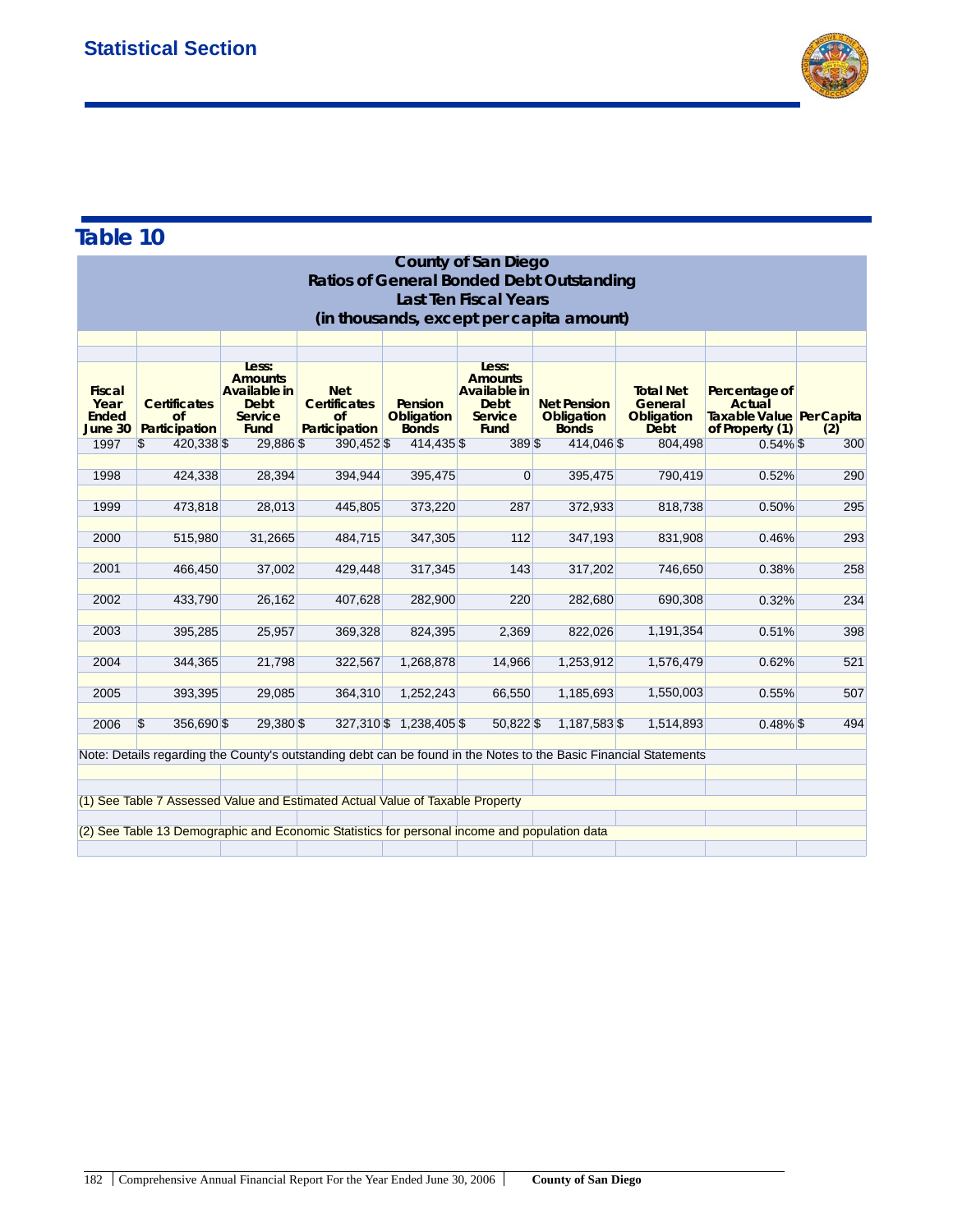

|                                                  | <b>County of San Diego</b><br><b>Ratios of General Bonded Debt Outstanding</b><br><b>Last Ten Fiscal Years</b> |                                                                                |                                                                                              |                                              |                                                                         |                                                  |                                                                                                                   |                                                                        |     |  |  |  |  |  |
|--------------------------------------------------|----------------------------------------------------------------------------------------------------------------|--------------------------------------------------------------------------------|----------------------------------------------------------------------------------------------|----------------------------------------------|-------------------------------------------------------------------------|--------------------------------------------------|-------------------------------------------------------------------------------------------------------------------|------------------------------------------------------------------------|-----|--|--|--|--|--|
|                                                  | (in thousands, except per capita amount)                                                                       |                                                                                |                                                                                              |                                              |                                                                         |                                                  |                                                                                                                   |                                                                        |     |  |  |  |  |  |
|                                                  |                                                                                                                |                                                                                |                                                                                              |                                              |                                                                         |                                                  |                                                                                                                   |                                                                        |     |  |  |  |  |  |
|                                                  |                                                                                                                | Less:                                                                          |                                                                                              |                                              | Less:                                                                   |                                                  |                                                                                                                   |                                                                        |     |  |  |  |  |  |
| <b>Fiscal</b><br>Year<br><b>Ended</b><br>June 30 | <b>Certificates</b><br>of<br>Participation                                                                     | <b>Amounts</b><br>Available in<br><b>Debt</b><br><b>Service</b><br><b>Fund</b> | <b>Net</b><br><b>Certificates</b><br>of<br>Participation                                     | <b>Pension</b><br>Obligation<br><b>Bonds</b> | <b>Amounts</b><br>Available in<br><b>Debt</b><br>Service<br><b>Fund</b> | <b>Net Pension</b><br>Obligation<br><b>Bonds</b> | <b>Total Net</b><br>General<br>Obligation<br><b>Debt</b>                                                          | Percentage of<br>Actual<br>Taxable Value Per Capita<br>of Property (1) | (2) |  |  |  |  |  |
| 1997                                             | $\overline{\mathbb{S}}$<br>420,338 \$                                                                          | 29,886 \$                                                                      | 390,452 \$                                                                                   | 414,435\$                                    | 389\$                                                                   | 414,046 \$                                       | 804,498                                                                                                           | $0.54\%$ \$                                                            | 300 |  |  |  |  |  |
| 1998                                             | 424,338                                                                                                        | 28,394                                                                         | 394,944                                                                                      | 395,475                                      | $\overline{0}$                                                          | 395,475                                          | 790,419                                                                                                           | 0.52%                                                                  | 290 |  |  |  |  |  |
| 1999                                             | 473,818                                                                                                        | 28,013                                                                         | 445,805                                                                                      | 373,220                                      | 287                                                                     | 372,933                                          | 818,738                                                                                                           | 0.50%                                                                  | 295 |  |  |  |  |  |
| 2000                                             | 515,980                                                                                                        | 31,2665                                                                        | 484,715                                                                                      | 347,305                                      | 112                                                                     | 347,193                                          | 831,908                                                                                                           | 0.46%                                                                  | 293 |  |  |  |  |  |
| 2001                                             | 466,450                                                                                                        | 37,002                                                                         | 429,448                                                                                      | 317,345                                      | 143                                                                     | 317,202                                          | 746,650                                                                                                           | 0.38%                                                                  | 258 |  |  |  |  |  |
| 2002                                             | 433,790                                                                                                        | 26,162                                                                         | 407,628                                                                                      | 282,900                                      | 220                                                                     | 282,680                                          | 690,308                                                                                                           | 0.32%                                                                  | 234 |  |  |  |  |  |
| 2003                                             | 395,285                                                                                                        | 25,957                                                                         | 369,328                                                                                      | 824,395                                      | 2,369                                                                   | 822,026                                          | 1,191,354                                                                                                         | 0.51%                                                                  | 398 |  |  |  |  |  |
| 2004                                             | 344,365                                                                                                        | 21,798                                                                         | 322,567                                                                                      | 1,268,878                                    | 14,966                                                                  | 1,253,912                                        | 1,576,479                                                                                                         | 0.62%                                                                  | 521 |  |  |  |  |  |
| 2005                                             | 393,395                                                                                                        | 29,085                                                                         | 364,310                                                                                      | 1,252,243                                    | 66,550                                                                  | 1,185,693                                        | 1,550,003                                                                                                         | 0.55%                                                                  | 507 |  |  |  |  |  |
| 2006                                             | $\overline{\mathcal{E}}$<br>356,690 \$                                                                         | 29,380 \$                                                                      |                                                                                              | 327,310 \$1,238,405 \$                       | 50,822\$                                                                | 1,187,583 \$                                     | 1,514,893                                                                                                         | $0.48\%$ \$                                                            | 494 |  |  |  |  |  |
|                                                  |                                                                                                                |                                                                                |                                                                                              |                                              |                                                                         |                                                  | Note: Details regarding the County's outstanding debt can be found in the Notes to the Basic Financial Statements |                                                                        |     |  |  |  |  |  |
|                                                  |                                                                                                                |                                                                                | (1) See Table 7 Assessed Value and Estimated Actual Value of Taxable Property                |                                              |                                                                         |                                                  |                                                                                                                   |                                                                        |     |  |  |  |  |  |
|                                                  |                                                                                                                |                                                                                | (2) See Table 13 Demographic and Economic Statistics for personal income and population data |                                              |                                                                         |                                                  |                                                                                                                   |                                                                        |     |  |  |  |  |  |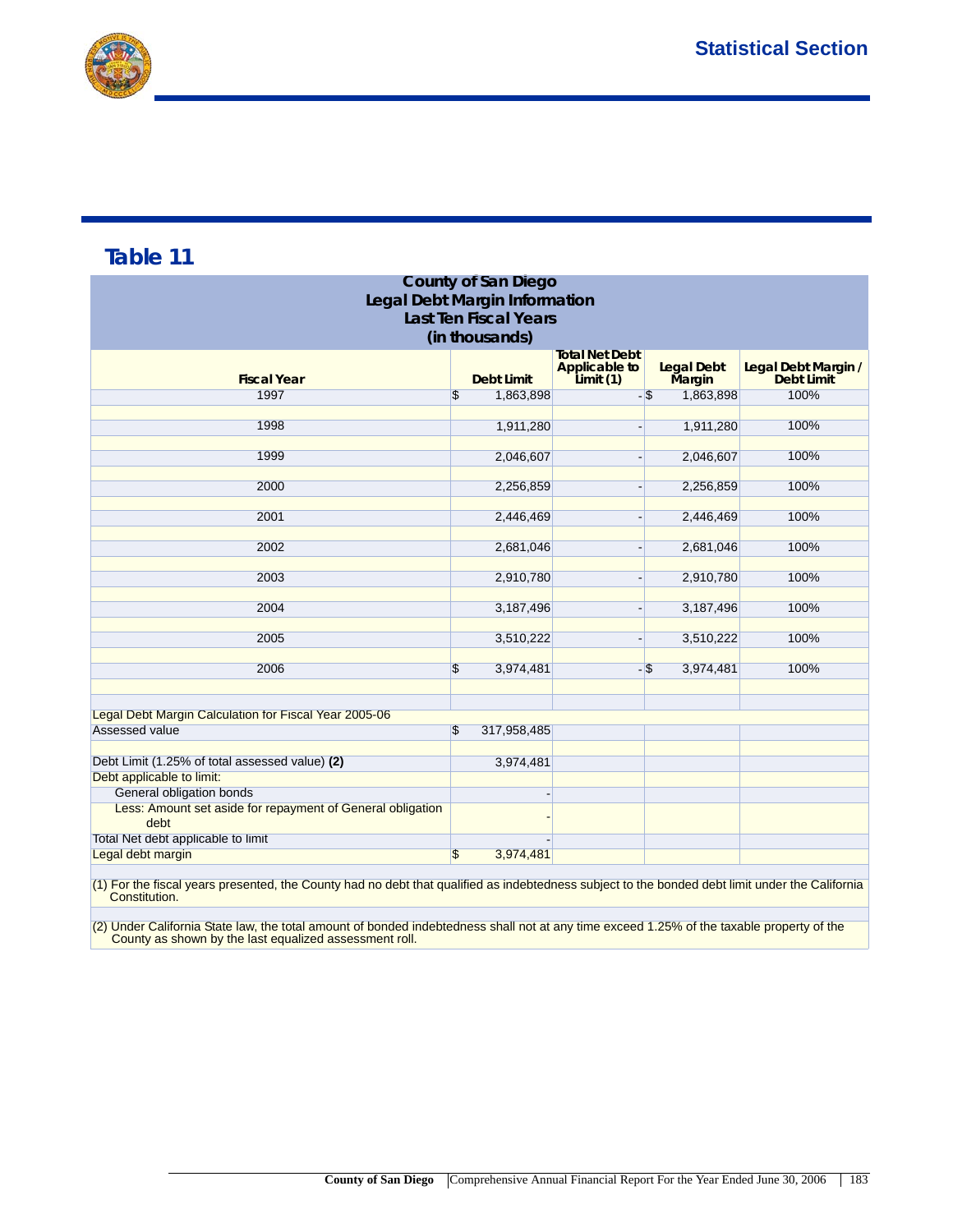

| <b>County of San Diego</b><br>Legal Debt Margin Information                    |                         |                   |                                                            |                             |                                          |  |  |
|--------------------------------------------------------------------------------|-------------------------|-------------------|------------------------------------------------------------|-----------------------------|------------------------------------------|--|--|
| <b>Last Ten Fiscal Years</b>                                                   |                         |                   |                                                            |                             |                                          |  |  |
|                                                                                | (in thousands)          |                   |                                                            |                             |                                          |  |  |
| <b>Fiscal Year</b>                                                             |                         | <b>Debt Limit</b> | <b>Total Net Debt</b><br><b>Applicable to</b><br>Limit (1) | <b>Legal Debt</b><br>Margin | Legal Debt Margin /<br><b>Debt Limit</b> |  |  |
| 1997                                                                           | $\overline{\mathbb{S}}$ | 1,863,898         |                                                            | 1,863,898<br>$ \sqrt{3}$    | 100%                                     |  |  |
| 1998                                                                           |                         | 1,911,280         |                                                            | 1,911,280                   | 100%                                     |  |  |
| 1999                                                                           |                         | 2,046,607         |                                                            | 2,046,607                   | 100%                                     |  |  |
| 2000                                                                           |                         | 2,256,859         | $\overline{\phantom{a}}$                                   | 2,256,859                   | 100%                                     |  |  |
| 2001                                                                           |                         | 2,446,469         |                                                            | 2,446,469                   | 100%                                     |  |  |
| 2002                                                                           |                         | 2,681,046         |                                                            | 2,681,046                   | 100%                                     |  |  |
| 2003                                                                           |                         | 2,910,780         |                                                            | 2,910,780                   | 100%                                     |  |  |
| 2004                                                                           |                         | 3,187,496         |                                                            | 3,187,496                   | 100%                                     |  |  |
| 2005                                                                           |                         | 3,510,222         | $\blacksquare$                                             | 3,510,222                   | 100%                                     |  |  |
| 2006                                                                           | \$                      | 3,974,481         |                                                            | 3,974,481<br>$-$ \$         | 100%                                     |  |  |
| Legal Debt Margin Calculation for Fiscal Year 2005-06<br><b>Assessed value</b> |                         |                   |                                                            |                             |                                          |  |  |
|                                                                                | \$                      | 317,958,485       |                                                            |                             |                                          |  |  |
| Debt Limit (1.25% of total assessed value) (2)                                 |                         | 3,974,481         |                                                            |                             |                                          |  |  |
| Debt applicable to limit:<br>General obligation bonds                          |                         |                   |                                                            |                             |                                          |  |  |
| Less: Amount set aside for repayment of General obligation                     |                         |                   |                                                            |                             |                                          |  |  |
| debt                                                                           |                         |                   |                                                            |                             |                                          |  |  |
| Total Net debt applicable to limit<br>Legal debt margin<br>\$<br>3,974,481     |                         |                   |                                                            |                             |                                          |  |  |
|                                                                                |                         |                   |                                                            |                             |                                          |  |  |

(1) For the fiscal years presented, the County had no debt that qualified as indebtedness subject to the bonded debt limit under the California Constitution.

(2) Under California State law, the total amount of bonded indebtedness shall not at any time exceed 1.25% of the taxable property of the County as shown by the last equalized assessment roll.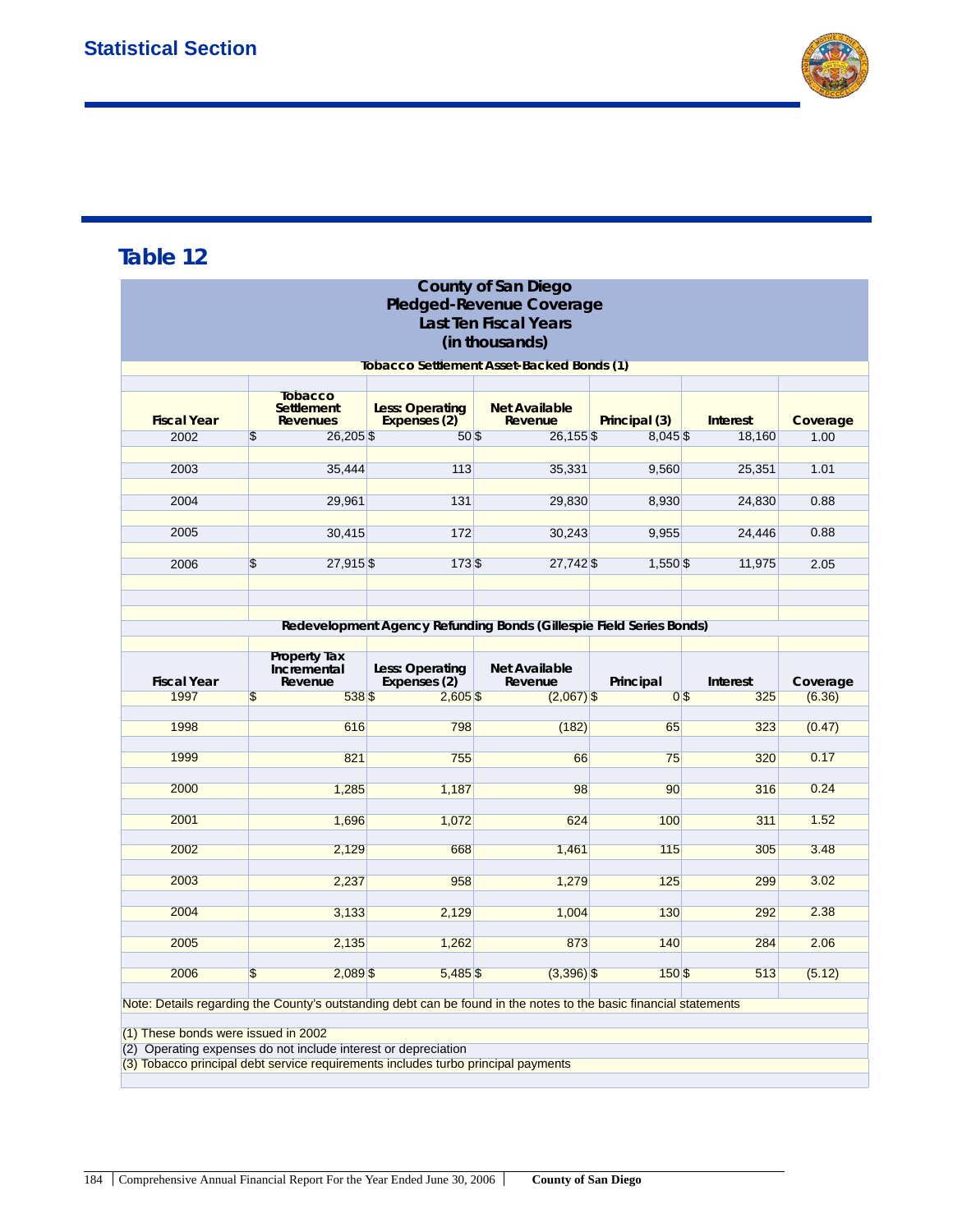

| <b>County of San Diego</b><br>Pledged-Revenue Coverage<br><b>Last Ten Fiscal Years</b><br>(in thousands)                                                                                   |                                                 |                                 |                                                  |               |                 |          |  |  |
|--------------------------------------------------------------------------------------------------------------------------------------------------------------------------------------------|-------------------------------------------------|---------------------------------|--------------------------------------------------|---------------|-----------------|----------|--|--|
|                                                                                                                                                                                            |                                                 |                                 | <b>Tobacco Settlement Asset-Backed Bonds (1)</b> |               |                 |          |  |  |
| <b>Fiscal Year</b>                                                                                                                                                                         | <b>Tobacco</b><br>Settlement<br><b>Revenues</b> | Less: Operating<br>Expenses (2) | <b>Net Available</b><br>Revenue                  | Principal (3) | <b>Interest</b> | Coverage |  |  |
| 2002                                                                                                                                                                                       | $\overline{\mathcal{S}}$<br>$26,205$ \$         | 50\$                            | $26,155$ \$                                      | $8,045$ \$    | 18,160          | 1.00     |  |  |
| 2003                                                                                                                                                                                       | 35,444                                          | 113                             | 35,331                                           | 9,560         | 25,351          | 1.01     |  |  |
| 2004                                                                                                                                                                                       | 29,961                                          | 131                             | 29,830                                           | 8,930         | 24,830          | 0.88     |  |  |
| 2005                                                                                                                                                                                       | 30,415                                          | 172                             | 30,243                                           | 9,955         | 24,446          | 0.88     |  |  |
| 2006                                                                                                                                                                                       | $\sqrt[6]{3}$<br>$27,915$ \$                    | 173\$                           | 27,742 \$                                        | $1,550$ \$    | 11,975          | 2.05     |  |  |
|                                                                                                                                                                                            |                                                 |                                 |                                                  |               |                 |          |  |  |
|                                                                                                                                                                                            |                                                 |                                 |                                                  |               |                 |          |  |  |
| Redevelopment Agency Refunding Bonds (Gillespie Field Series Bonds)                                                                                                                        |                                                 |                                 |                                                  |               |                 |          |  |  |
| <b>Fiscal Year</b>                                                                                                                                                                         | <b>Property Tax</b><br>Incremental<br>Revenue   | Less: Operating<br>Expenses (2) | <b>Net Available</b><br>Revenue                  | Principal     | Interest        | Coverage |  |  |
| 1997                                                                                                                                                                                       | 538 \$<br>$\overline{\mathbb{S}}$               | $2,605$ \$                      | $(2,067)$ \$                                     | 0S            | 325             | (6.36)   |  |  |
| 1998                                                                                                                                                                                       | 616                                             | 798                             | (182)                                            | 65            | 323             | (0.47)   |  |  |
| 1999                                                                                                                                                                                       | 821                                             | 755                             | 66                                               | 75            | 320             | 0.17     |  |  |
| 2000                                                                                                                                                                                       | 1,285                                           | 1,187                           | 98                                               | 90            | 316             | 0.24     |  |  |
| 2001                                                                                                                                                                                       | 1,696                                           | 1,072                           | 624                                              | 100           | 311             | 1.52     |  |  |
| 2002                                                                                                                                                                                       | 2,129                                           | 668                             | 1,461                                            | 115           | 305             | 3.48     |  |  |
| 2003                                                                                                                                                                                       | 2,237                                           | 958                             | 1,279                                            | 125           | 299             | 3.02     |  |  |
| 2004                                                                                                                                                                                       | 3,133                                           | 2,129                           | 1,004                                            | 130           | 292             | 2.38     |  |  |
| 2005                                                                                                                                                                                       | 2,135                                           | 1,262                           | 873                                              | 140           | 284             | 2.06     |  |  |
| 2006                                                                                                                                                                                       | $\overline{\mathbb{S}}$<br>$2,089$ \$           | 5,485\$                         | $(3,396)$ \$                                     | 150\$         | 513             | (5.12)   |  |  |
| Note: Details regarding the County's outstanding debt can be found in the notes to the basic financial statements                                                                          |                                                 |                                 |                                                  |               |                 |          |  |  |
|                                                                                                                                                                                            |                                                 |                                 |                                                  |               |                 |          |  |  |
|                                                                                                                                                                                            |                                                 |                                 |                                                  |               |                 |          |  |  |
| (1) These bonds were issued in 2002<br>(2) Operating expenses do not include interest or depreciation<br>(3) Tobacco principal debt service requirements includes turbo principal payments |                                                 |                                 |                                                  |               |                 |          |  |  |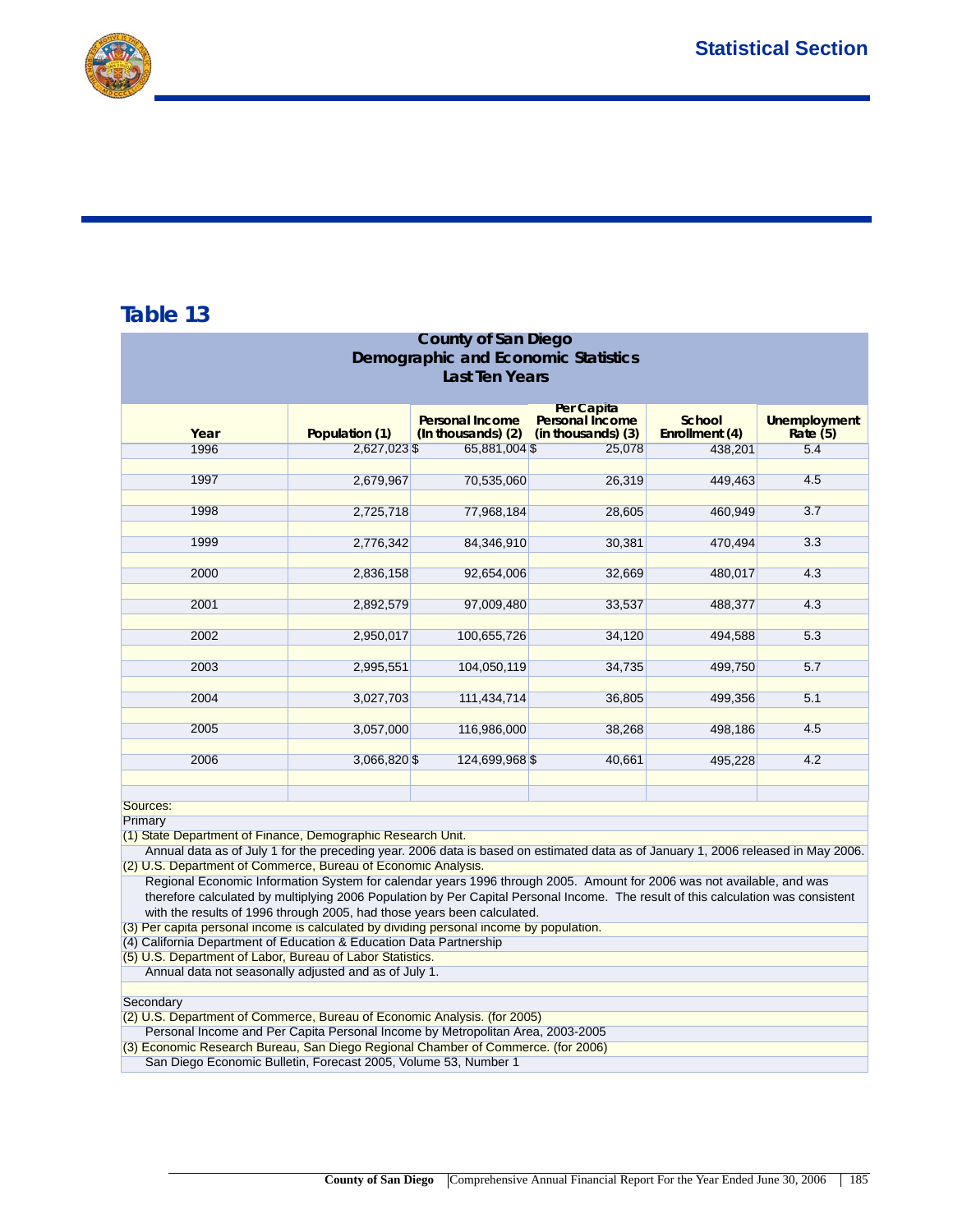

| <b>County of San Diego</b><br><b>Demographic and Economic Statistics</b><br><b>Last Ten Years</b>                                                                                                                                                                            |                |                                              |                                                            |                          |                                |  |  |  |
|------------------------------------------------------------------------------------------------------------------------------------------------------------------------------------------------------------------------------------------------------------------------------|----------------|----------------------------------------------|------------------------------------------------------------|--------------------------|--------------------------------|--|--|--|
| Year                                                                                                                                                                                                                                                                         | Population (1) | <b>Personal Income</b><br>(In thousands) (2) | <b>Per Capita</b><br>Personal Income<br>(in thousands) (3) | School<br>Enrollment (4) | <b>Unemployment</b><br>Rate(5) |  |  |  |
| 1996                                                                                                                                                                                                                                                                         | 2,627,023 \$   | 65,881,004 \$                                | 25,078                                                     | 438,201                  | 5.4                            |  |  |  |
| 1997                                                                                                                                                                                                                                                                         | 2,679,967      | 70,535,060                                   | 26,319                                                     | 449,463                  | 4.5                            |  |  |  |
| 1998                                                                                                                                                                                                                                                                         | 2,725,718      | 77,968,184                                   | 28,605                                                     | 460,949                  | 3.7                            |  |  |  |
| 1999                                                                                                                                                                                                                                                                         | 2,776,342      | 84,346,910                                   | 30,381                                                     | 470,494                  | 3.3                            |  |  |  |
| 2000                                                                                                                                                                                                                                                                         | 2,836,158      | 92,654,006                                   | 32,669                                                     | 480,017                  | 4.3                            |  |  |  |
| 2001                                                                                                                                                                                                                                                                         | 2,892,579      | 97,009,480                                   | 33,537                                                     | 488,377                  | 4.3                            |  |  |  |
| 2002                                                                                                                                                                                                                                                                         | 2,950,017      | 100,655,726                                  | 34,120                                                     | 494,588                  | 5.3                            |  |  |  |
| 2003                                                                                                                                                                                                                                                                         | 2,995,551      | 104,050,119                                  | 34,735                                                     | 499,750                  | 5.7                            |  |  |  |
| 2004                                                                                                                                                                                                                                                                         | 3,027,703      | 111,434,714                                  | 36,805                                                     | 499,356                  | 5.1                            |  |  |  |
| 2005                                                                                                                                                                                                                                                                         | 3,057,000      | 116,986,000                                  | 38,268                                                     | 498,186                  | 4.5                            |  |  |  |
| 2006                                                                                                                                                                                                                                                                         | 3,066,820 \$   | 124,699,968 \$                               | 40,661                                                     | 495,228                  | 4.2                            |  |  |  |
| Sources:                                                                                                                                                                                                                                                                     |                |                                              |                                                            |                          |                                |  |  |  |
| Primary<br>(1) State Department of Finance, Demographic Research Unit.<br>Annual data as of July 1 for the preceding year. 2006 data is based on estimated data as of January 1, 2006 released in May 2006.<br>(2) U.S. Department of Commerce, Bureau of Economic Analysis. |                |                                              |                                                            |                          |                                |  |  |  |
| Regional Economic Information System for calendar years 1996 through 2005. Amount for 2006 was not available, and was                                                                                                                                                        |                |                                              |                                                            |                          |                                |  |  |  |

therefore calculated by multiplying 2006 Population by Per Capital Personal Income. The result of this calculation was consistent with the results of 1996 through 2005, had those years been calculated.

(3) Per capita personal income is calculated by dividing personal income by population.

(4) California Department of Education & Education Data Partnership

(5) U.S. Department of Labor, Bureau of Labor Statistics.

Annual data not seasonally adjusted and as of July 1.

**Secondary** 

(2) U.S. Department of Commerce, Bureau of Economic Analysis. (for 2005)

- Personal Income and Per Capita Personal Income by Metropolitan Area, 2003-2005
- (3) Economic Research Bureau, San Diego Regional Chamber of Commerce. (for 2006)

San Diego Economic Bulletin, Forecast 2005, Volume 53, Number 1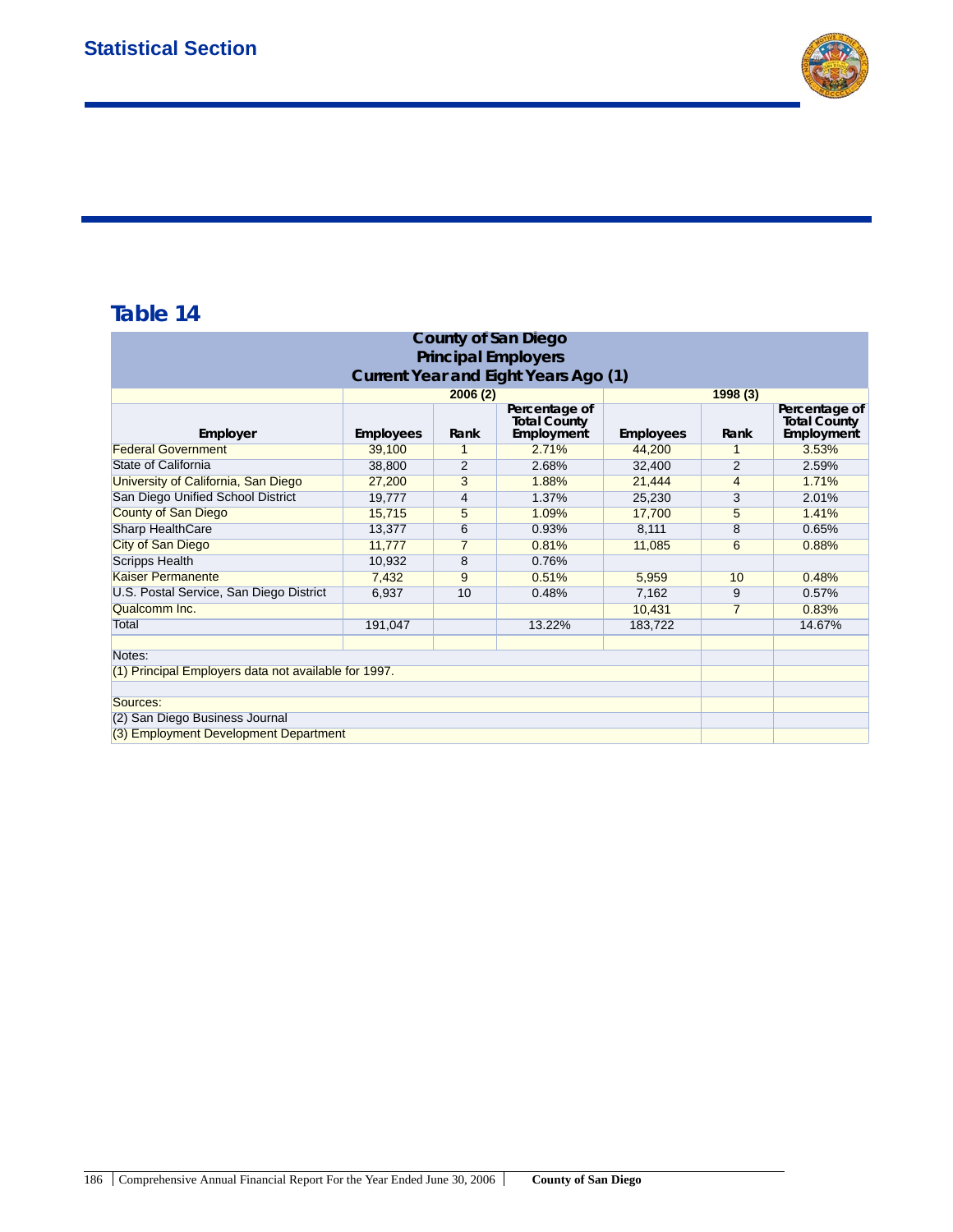

| <b>County of San Diego</b><br><b>Principal Employers</b><br><b>Current Year and Eight Years Ago (1)</b> |                  |                |                                                    |                  |                |                                                    |  |
|---------------------------------------------------------------------------------------------------------|------------------|----------------|----------------------------------------------------|------------------|----------------|----------------------------------------------------|--|
|                                                                                                         |                  | 2006(2)        |                                                    |                  | 1998(3)        |                                                    |  |
| Employer                                                                                                | <b>Employees</b> | Rank           | Percentage of<br><b>Total County</b><br>Employment | <b>Employees</b> | Rank           | Percentage of<br><b>Total County</b><br>Employment |  |
| <b>Federal Government</b>                                                                               | 39,100           |                | 2.71%                                              | 44,200           |                | 3.53%                                              |  |
| State of California                                                                                     | 38,800           | $\overline{2}$ | 2.68%                                              | 32,400           | 2              | 2.59%                                              |  |
| University of California, San Diego                                                                     | 27,200           | 3              | 1.88%                                              | 21,444           | 4              | 1.71%                                              |  |
| San Diego Unified School District                                                                       | 19,777           | 4              | 1.37%                                              | 25,230           | 3              | 2.01%                                              |  |
| <b>County of San Diego</b>                                                                              | 15,715           | 5              | 1.09%                                              | 17,700           | 5              | 1.41%                                              |  |
| <b>Sharp HealthCare</b>                                                                                 | 13,377           | 6              | 0.93%                                              | 8,111            | 8              | 0.65%                                              |  |
| <b>City of San Diego</b>                                                                                | 11,777           | $\overline{7}$ | 0.81%                                              | 11,085           | 6              | 0.88%                                              |  |
| <b>Scripps Health</b>                                                                                   | 10,932           | 8              | 0.76%                                              |                  |                |                                                    |  |
| <b>Kaiser Permanente</b>                                                                                | 7,432            | 9              | 0.51%                                              | 5,959            | 10             | 0.48%                                              |  |
| U.S. Postal Service, San Diego District                                                                 | 6,937            | 10             | 0.48%                                              | 7,162            | 9              | 0.57%                                              |  |
| Qualcomm Inc.                                                                                           |                  |                |                                                    | 10,431           | $\overline{7}$ | 0.83%                                              |  |
| <b>Total</b>                                                                                            | 191,047          |                | 13.22%                                             | 183,722          |                | 14.67%                                             |  |
| Notes:                                                                                                  |                  |                |                                                    |                  |                |                                                    |  |
| (1) Principal Employers data not available for 1997.                                                    |                  |                |                                                    |                  |                |                                                    |  |
| Sources:                                                                                                |                  |                |                                                    |                  |                |                                                    |  |
| (2) San Diego Business Journal                                                                          |                  |                |                                                    |                  |                |                                                    |  |
| (3) Employment Development Department                                                                   |                  |                |                                                    |                  |                |                                                    |  |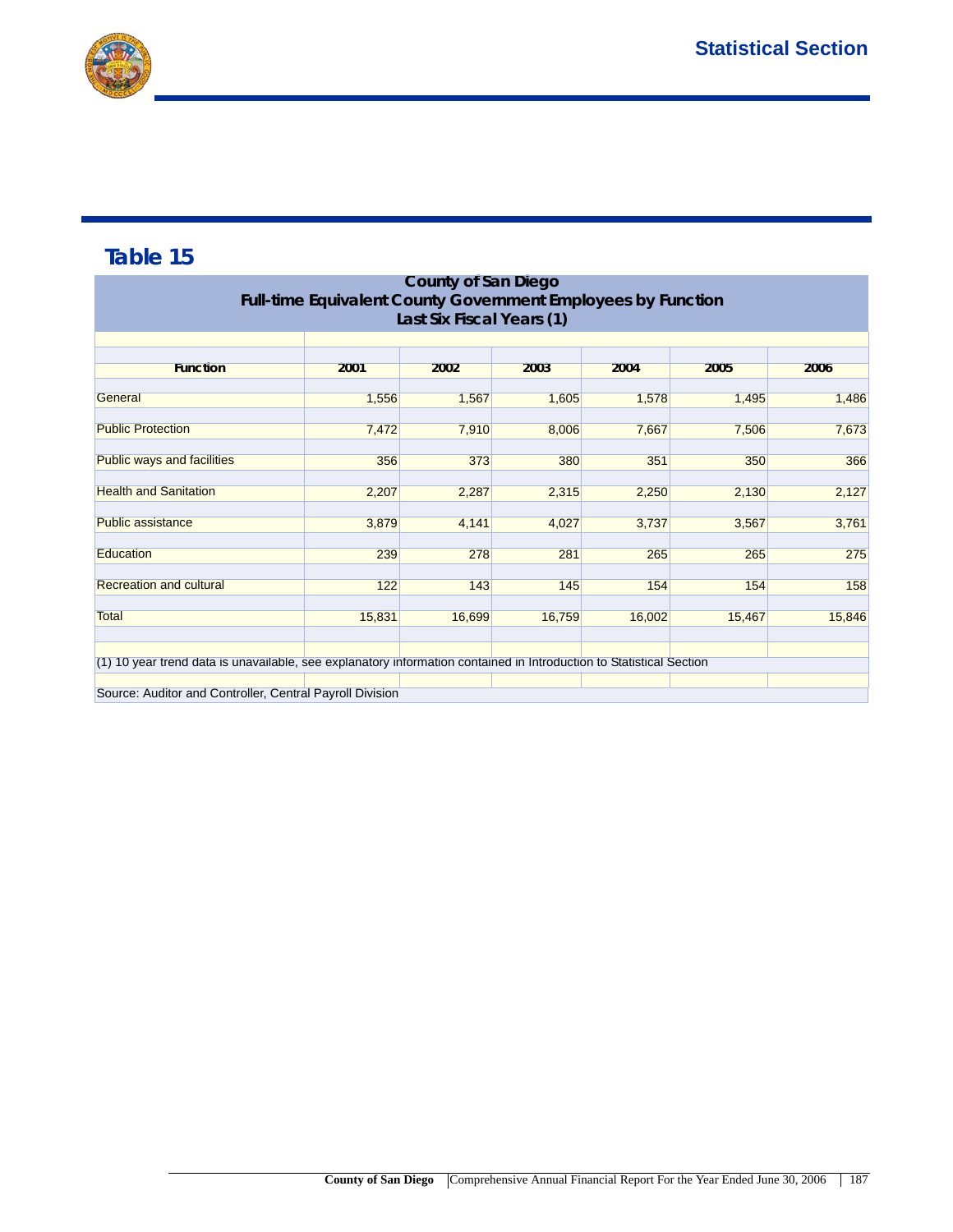

| <b>County of San Diego</b><br><b>Full-time Equivalent County Government Employees by Function</b><br>Last Six Fiscal Years (1)                                                  |        |        |        |        |        |        |  |  |
|---------------------------------------------------------------------------------------------------------------------------------------------------------------------------------|--------|--------|--------|--------|--------|--------|--|--|
|                                                                                                                                                                                 |        |        |        |        |        |        |  |  |
| <b>Function</b>                                                                                                                                                                 | 2001   | 2002   | 2003   | 2004   | 2005   | 2006   |  |  |
| General                                                                                                                                                                         | 1,556  | 1,567  | 1,605  | 1,578  | 1,495  | 1,486  |  |  |
| <b>Public Protection</b>                                                                                                                                                        | 7,472  | 7,910  | 8,006  | 7,667  | 7,506  | 7,673  |  |  |
| <b>Public ways and facilities</b>                                                                                                                                               | 356    | 373    | 380    | 351    | 350    | 366    |  |  |
| <b>Health and Sanitation</b>                                                                                                                                                    | 2,207  | 2,287  | 2,315  | 2,250  | 2,130  | 2,127  |  |  |
| <b>Public assistance</b>                                                                                                                                                        | 3,879  | 4,141  | 4,027  | 3,737  | 3,567  | 3,761  |  |  |
| Education                                                                                                                                                                       | 239    | 278    | 281    | 265    | 265    | 275    |  |  |
| <b>Recreation and cultural</b>                                                                                                                                                  | 122    | 143    | 145    | 154    | 154    | 158    |  |  |
| <b>Total</b>                                                                                                                                                                    | 15,831 | 16,699 | 16,759 | 16,002 | 15,467 | 15,846 |  |  |
| (1) 10 year trend data is unavailable, see explanatory information contained in Introduction to Statistical Section<br>Source: Auditor and Controller, Central Payroll Division |        |        |        |        |        |        |  |  |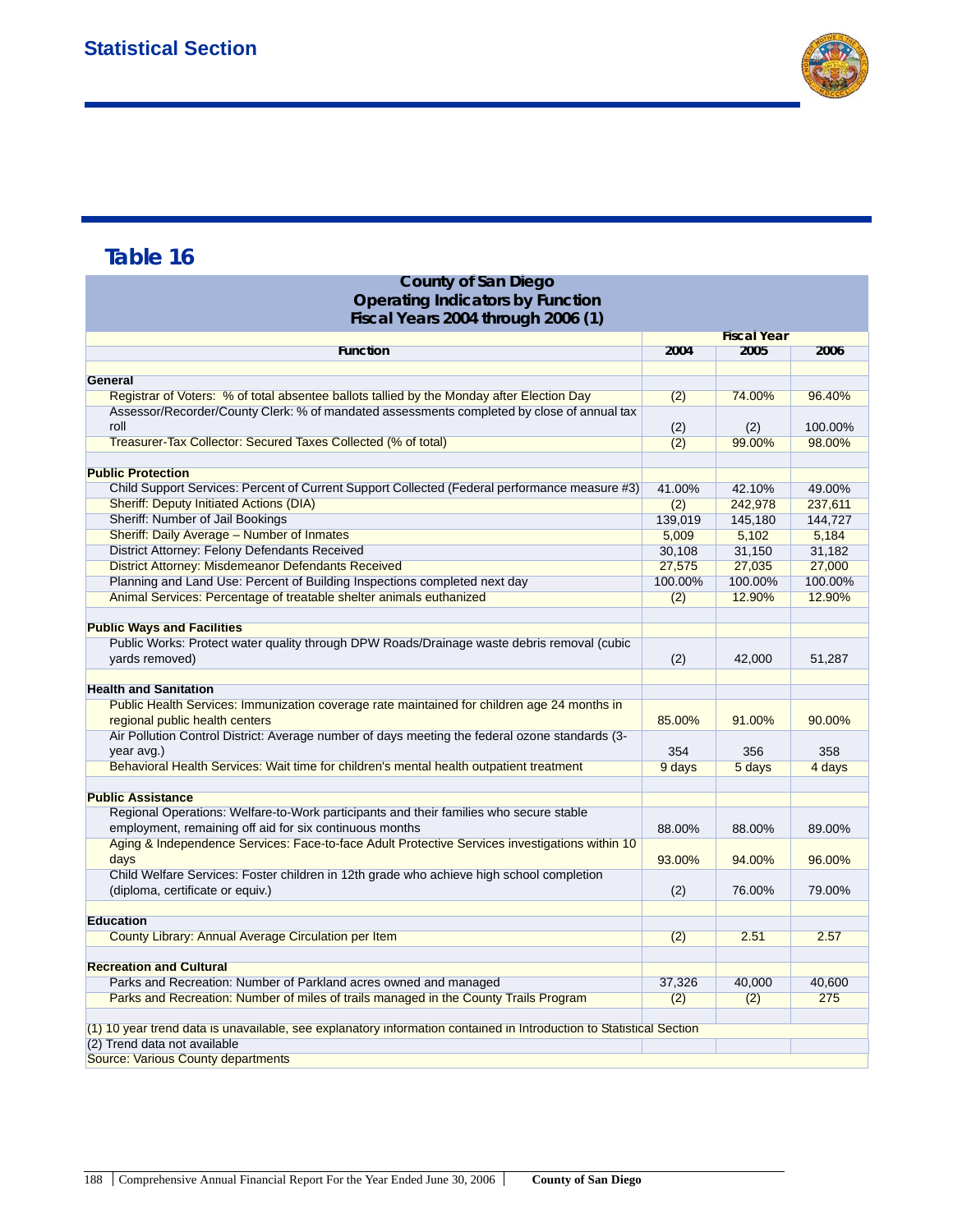

| <b>Operating Indicators by Function</b>                                                                             |         |                    |         |  |  |  |
|---------------------------------------------------------------------------------------------------------------------|---------|--------------------|---------|--|--|--|
| Fiscal Years 2004 through 2006 (1)                                                                                  |         |                    |         |  |  |  |
|                                                                                                                     |         | <b>Fiscal Year</b> |         |  |  |  |
| <b>Function</b>                                                                                                     | 2004    | 2005               | 2006    |  |  |  |
|                                                                                                                     |         |                    |         |  |  |  |
| <b>General</b>                                                                                                      |         |                    |         |  |  |  |
| Registrar of Voters: % of total absentee ballots tallied by the Monday after Election Day                           | (2)     | 74.00%             | 96.40%  |  |  |  |
| Assessor/Recorder/County Clerk: % of mandated assessments completed by close of annual tax                          |         |                    |         |  |  |  |
| roll                                                                                                                | (2)     | (2)                | 100.00% |  |  |  |
| Treasurer-Tax Collector: Secured Taxes Collected (% of total)                                                       | (2)     | 99.00%             | 98.00%  |  |  |  |
|                                                                                                                     |         |                    |         |  |  |  |
| <b>Public Protection</b>                                                                                            |         |                    |         |  |  |  |
| Child Support Services: Percent of Current Support Collected (Federal performance measure #3)                       | 41.00%  | 42.10%             | 49.00%  |  |  |  |
| <b>Sheriff: Deputy Initiated Actions (DIA)</b>                                                                      | (2)     | 242,978            | 237,611 |  |  |  |
| Sheriff: Number of Jail Bookings                                                                                    | 139,019 | 145,180            | 144,727 |  |  |  |
| Sheriff: Daily Average - Number of Inmates                                                                          | 5,009   | 5,102              | 5,184   |  |  |  |
| District Attorney: Felony Defendants Received                                                                       | 30,108  | 31,150             | 31,182  |  |  |  |
| District Attorney: Misdemeanor Defendants Received                                                                  | 27,575  | 27,035             | 27,000  |  |  |  |
| Planning and Land Use: Percent of Building Inspections completed next day                                           | 100.00% | 100.00%            | 100.00% |  |  |  |
| Animal Services: Percentage of treatable shelter animals euthanized                                                 | (2)     | 12.90%             | 12.90%  |  |  |  |
|                                                                                                                     |         |                    |         |  |  |  |
| <b>Public Ways and Facilities</b>                                                                                   |         |                    |         |  |  |  |
| Public Works: Protect water quality through DPW Roads/Drainage waste debris removal (cubic                          |         |                    |         |  |  |  |
| yards removed)                                                                                                      | (2)     | 42,000             | 51,287  |  |  |  |
|                                                                                                                     |         |                    |         |  |  |  |
| <b>Health and Sanitation</b>                                                                                        |         |                    |         |  |  |  |
| Public Health Services: Immunization coverage rate maintained for children age 24 months in                         |         |                    |         |  |  |  |
| regional public health centers                                                                                      | 85.00%  | 91.00%             | 90.00%  |  |  |  |
| Air Pollution Control District: Average number of days meeting the federal ozone standards (3-                      |         |                    |         |  |  |  |
| year avg.)                                                                                                          | 354     | 356                | 358     |  |  |  |
| Behavioral Health Services: Wait time for children's mental health outpatient treatment                             | 9 days  | 5 days             | 4 days  |  |  |  |
|                                                                                                                     |         |                    |         |  |  |  |
| <b>Public Assistance</b>                                                                                            |         |                    |         |  |  |  |
| Regional Operations: Welfare-to-Work participants and their families who secure stable                              |         |                    |         |  |  |  |
| employment, remaining off aid for six continuous months                                                             | 88.00%  | 88.00%             | 89.00%  |  |  |  |
| Aging & Independence Services: Face-to-face Adult Protective Services investigations within 10                      |         |                    |         |  |  |  |
| davs                                                                                                                | 93.00%  | 94.00%             | 96.00%  |  |  |  |
| Child Welfare Services: Foster children in 12th grade who achieve high school completion                            |         |                    |         |  |  |  |
| (diploma, certificate or equiv.)                                                                                    | (2)     | 76.00%             | 79.00%  |  |  |  |
|                                                                                                                     |         |                    |         |  |  |  |
| <b>Education</b>                                                                                                    |         |                    |         |  |  |  |
| County Library: Annual Average Circulation per Item                                                                 | (2)     | 2.51               | 2.57    |  |  |  |
|                                                                                                                     |         |                    |         |  |  |  |
| <b>Recreation and Cultural</b>                                                                                      |         |                    |         |  |  |  |
| Parks and Recreation: Number of Parkland acres owned and managed                                                    | 37,326  | 40,000             | 40,600  |  |  |  |
| Parks and Recreation: Number of miles of trails managed in the County Trails Program                                | (2)     | (2)                | 275     |  |  |  |
|                                                                                                                     |         |                    |         |  |  |  |
| (1) 10 year trend data is unavailable, see explanatory information contained in Introduction to Statistical Section |         |                    |         |  |  |  |
| (2) Trend data not available                                                                                        |         |                    |         |  |  |  |
| Source: Various County departments                                                                                  |         |                    |         |  |  |  |

**County of San Diego**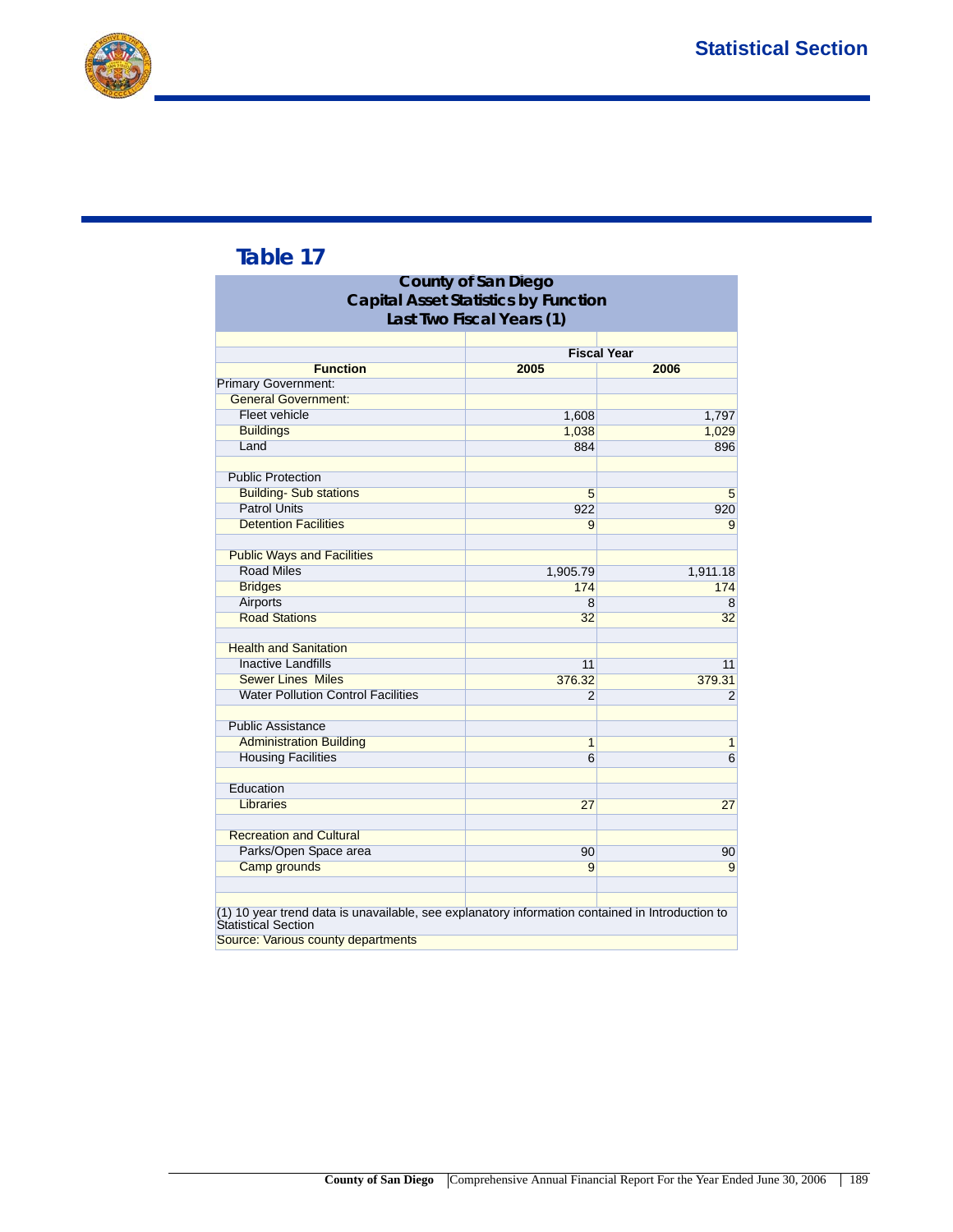

|                                                                                                                                                              | <b>County of San Diego</b><br><b>Capital Asset Statistics by Function</b><br>Last Two Fiscal Years (1) |                    |
|--------------------------------------------------------------------------------------------------------------------------------------------------------------|--------------------------------------------------------------------------------------------------------|--------------------|
|                                                                                                                                                              |                                                                                                        | <b>Fiscal Year</b> |
| <b>Function</b>                                                                                                                                              | 2005                                                                                                   | 2006               |
| <b>Primary Government:</b>                                                                                                                                   |                                                                                                        |                    |
| <b>General Government:</b>                                                                                                                                   |                                                                                                        |                    |
| Fleet vehicle                                                                                                                                                | 1,608                                                                                                  | 1,797              |
| <b>Buildings</b>                                                                                                                                             | 1,038                                                                                                  | 1,029              |
| Land                                                                                                                                                         | 884                                                                                                    | 896                |
| <b>Public Protection</b>                                                                                                                                     |                                                                                                        |                    |
| <b>Building-Sub stations</b>                                                                                                                                 | 5                                                                                                      | 5                  |
| <b>Patrol Units</b>                                                                                                                                          | 922                                                                                                    | 920                |
| <b>Detention Facilities</b>                                                                                                                                  | 9                                                                                                      | 9                  |
| <b>Public Ways and Facilities</b>                                                                                                                            |                                                                                                        |                    |
| <b>Road Miles</b>                                                                                                                                            | 1,905.79                                                                                               | 1,911.18           |
| <b>Bridges</b>                                                                                                                                               | 174                                                                                                    | 174                |
| Airports                                                                                                                                                     | 8                                                                                                      | 8                  |
| <b>Road Stations</b>                                                                                                                                         | 32                                                                                                     | 32                 |
| <b>Health and Sanitation</b>                                                                                                                                 |                                                                                                        |                    |
| <b>Inactive Landfills</b>                                                                                                                                    | 11                                                                                                     | 11                 |
| <b>Sewer Lines Miles</b>                                                                                                                                     | 376.32                                                                                                 | 379.31             |
| <b>Water Pollution Control Facilities</b>                                                                                                                    | 2                                                                                                      | 2                  |
| <b>Public Assistance</b>                                                                                                                                     |                                                                                                        |                    |
| <b>Administration Building</b>                                                                                                                               | 1                                                                                                      | $\mathbf{1}$       |
| <b>Housing Facilities</b>                                                                                                                                    | 6                                                                                                      | 6                  |
| Education                                                                                                                                                    |                                                                                                        |                    |
| Libraries                                                                                                                                                    | 27                                                                                                     | 27                 |
| <b>Recreation and Cultural</b>                                                                                                                               |                                                                                                        |                    |
| Parks/Open Space area                                                                                                                                        | 90                                                                                                     | 90                 |
| <b>Camp grounds</b>                                                                                                                                          | 9                                                                                                      | $\overline{9}$     |
| (1) 10 year trend data is unavailable, see explanatory information contained in Introduction to<br>Statistical Section<br>Source: Various county departments |                                                                                                        |                    |